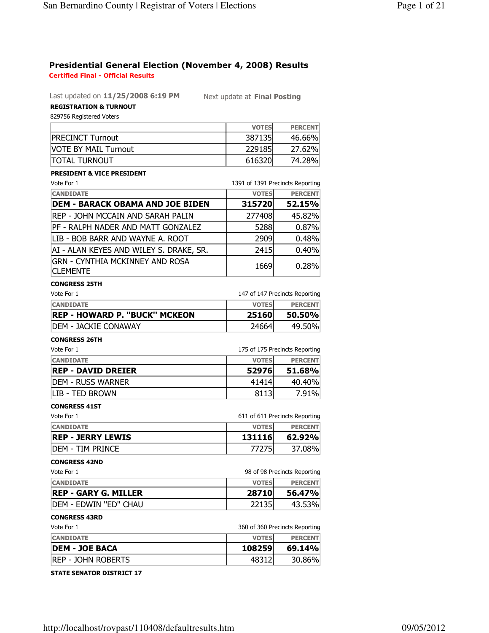# Presidential General Election (November 4, 2008) Results Certified Final - Official Results

Last updated on 11/25/2008 6:19 PM Next update at Final Posting

## REGISTRATION & TURNOUT 829756 Registered Voters

|                             | <b>VOTES</b> | <b>PERCENT</b> |
|-----------------------------|--------------|----------------|
| <b>PRECINCT Turnout</b>     | 387135       | 46.66%         |
| <b>VOTE BY MAIL Turnout</b> | 229185       | 27.62%         |
| <b>TOTAL TURNOUT</b>        | 616320       | 74.28%         |

# PRESIDENT & VICE PRESIDENT

| Vote For 1                                                |              | 1391 of 1391 Precincts Reporting |
|-----------------------------------------------------------|--------------|----------------------------------|
| <b>CANDIDATE</b>                                          | <b>VOTES</b> | <b>PERCENT</b>                   |
| <b>DEM - BARACK OBAMA AND JOE BIDEN</b>                   | 315720       | 52.15%                           |
| REP - JOHN MCCAIN AND SARAH PALIN                         | 277408       | 45.82%                           |
| PF - RALPH NADER AND MATT GONZALEZ                        | 5288         | 0.87%                            |
| LIB - BOB BARR AND WAYNE A. ROOT                          | 2909         | 0.48%                            |
| AI - ALAN KEYES AND WILEY S. DRAKE, SR.                   | 2415         | 0.40%                            |
| <b>GRN - CYNTHIA MCKINNEY AND ROSA</b><br><b>CLEMENTE</b> | 1669         | 0.28%                            |

#### CONGRESS 25TH

| Vote For 1                           | 147 of 147 Precincts Reporting |                |
|--------------------------------------|--------------------------------|----------------|
| <b>CANDIDATE</b>                     | <b>VOTES</b>                   | <b>PERCENT</b> |
| <b>REP - HOWARD P. "BUCK" MCKEON</b> | 25160                          | 50.50%         |
| <b>IDEM - JACKIE CONAWAY</b>         | 24664                          | 49.50%         |

#### CONGRESS 26TH

| Vote For 1                |              | 175 of 175 Precincts Reporting |
|---------------------------|--------------|--------------------------------|
| <b>CANDIDATE</b>          | <b>VOTES</b> | <b>PERCENT</b>                 |
| <b>REP - DAVID DREIER</b> | 52976        | 51.68%                         |
| IDEM - RUSS WARNER        | 41414        | 40.40%                         |
| <b>LIB - TED BROWN</b>    | 8113         | 7.91%                          |

#### CONGRESS 41ST

| Vote For 1               | 611 of 611 Precincts Reporting |                |
|--------------------------|--------------------------------|----------------|
| <b>CANDIDATE</b>         | <b>VOTES</b>                   | <b>PERCENT</b> |
| <b>REP - JERRY LEWIS</b> | 131116                         | 62.92%         |
| idem - TIM prince        | 77275                          | 37.08%         |

#### CONGRESS 42ND

| Vote For 1                    | 98 of 98 Precincts Reporting |                |
|-------------------------------|------------------------------|----------------|
| <b>CANDIDATE</b>              | <b>VOTES</b>                 | <b>PERCENT</b> |
| <b>REP - GARY G. MILLER</b>   | 28710                        | 56.47%         |
| <b>IDEM - EDWIN "ED" CHAU</b> | 22135                        | 43.53%         |

## CONGRESS 43RD

| Vote For         | 360 of 360 Precincts Reporting |
|------------------|--------------------------------|
| <b>CANDIDATE</b> | <b>PERCENT</b>                 |
|                  |                                |

| <b>IDEM - JOE BACA</b>     | 108259 | 69.14% |
|----------------------------|--------|--------|
| <b>IREP - JOHN ROBERTS</b> |        | 30.86% |

## STATE SENATOR DISTRICT 17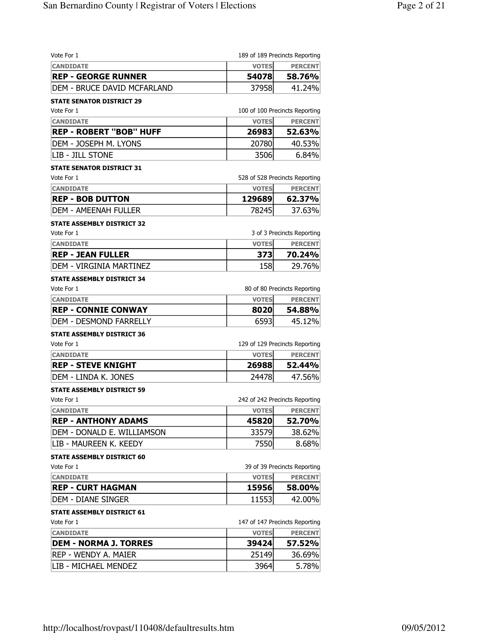| Vote For 1                          |              | 189 of 189 Precincts Reporting |
|-------------------------------------|--------------|--------------------------------|
| <b>CANDIDATE</b>                    | <b>VOTES</b> | <b>PERCENT</b>                 |
| <b>REP - GEORGE RUNNER</b>          | 54078        | 58.76%                         |
| <b>IDEM - BRUCE DAVID MCFARLAND</b> | 37958        | 41.24%                         |
| <b>STATE SENATOR DISTRICT 29</b>    |              |                                |
| Vote For 1                          |              | 100 of 100 Precincts Reporting |
| <b>CANDIDATE</b>                    | <b>VOTES</b> | <b>PERCENT</b>                 |
| <b>REP - ROBERT "BOB" HUFF</b>      | 26983        | 52.63%                         |
| DEM - JOSEPH M. LYONS               | 20780        | 40.53%                         |
| LIB - JILL STONE                    | 3506         | 6.84%                          |
| <b>STATE SENATOR DISTRICT 31</b>    |              |                                |
| Vote For 1                          |              | 528 of 528 Precincts Reporting |
| <b>CANDIDATE</b>                    | <b>VOTES</b> | <b>PERCENT</b>                 |
| <b>REP - BOB DUTTON</b>             | 129689       | 62.37%                         |
| DEM - AMEENAH FULLER                | 78245        | 37.63%                         |
| <b>STATE ASSEMBLY DISTRICT 32</b>   |              |                                |
| Vote For 1                          |              | 3 of 3 Precincts Reporting     |
| <b>CANDIDATE</b>                    | <b>VOTES</b> | <b>PERCENT</b>                 |
| <b>REP - JEAN FULLER</b>            | 3731         | 70.24%                         |
| DEM - VIRGINIA MARTINEZ             | 158          | 29.76%                         |
| STATE ASSEMBLY DISTRICT 34          |              |                                |
| Vote For 1                          |              | 80 of 80 Precincts Reporting   |
| <b>CANDIDATE</b>                    | <b>VOTES</b> | <b>PERCENT</b>                 |
| <b>REP - CONNIE CONWAY</b>          | 8020         | 54.88%                         |
| DEM - DESMOND FARRELLY              | 6593         | 45.12%                         |
| <b>STATE ASSEMBLY DISTRICT 36</b>   |              |                                |
| Vote For 1                          |              | 129 of 129 Precincts Reporting |
| <b>CANDIDATE</b>                    | <b>VOTES</b> | <b>PERCENT</b>                 |
| REP - STEVE KNIGHT                  | 26988        | 52.44%                         |
| DEM - LINDA K. JONES                | 24478        | 47.56%                         |
| <b>STATE ASSEMBLY DISTRICT 59</b>   |              |                                |
| Vote For 1                          |              | 242 of 242 Precincts Reporting |
| <b>CANDIDATE</b>                    | <b>VOTES</b> | <b>PERCENT</b>                 |
| <b>REP - ANTHONY ADAMS</b>          | 45820        | 52.70%                         |
| DEM - DONALD E. WILLIAMSON          | 33579        | 38.62%                         |
| LIB - MAUREEN K. KEEDY              | 7550         | 8.68%                          |
| <b>STATE ASSEMBLY DISTRICT 60</b>   |              |                                |
| Vote For 1                          |              | 39 of 39 Precincts Reporting   |
| <b>CANDIDATE</b>                    | <b>VOTES</b> | <b>PERCENT</b>                 |
| <b>REP - CURT HAGMAN</b>            | 15956        | 58.00%                         |
| idem - Diane Singer                 | 11553        | 42.00%                         |
| <b>STATE ASSEMBLY DISTRICT 61</b>   |              |                                |
| Vote For 1                          |              | 147 of 147 Precincts Reporting |
| <b>CANDIDATE</b>                    | <b>VOTES</b> | <b>PERCENT</b>                 |
| <b>DEM - NORMA J. TORRES</b>        | 39424        | 57.52%                         |
| REP - WENDY A. MAIER                | 25149        | 36.69%                         |
| LIB - MICHAEL MENDEZ                |              |                                |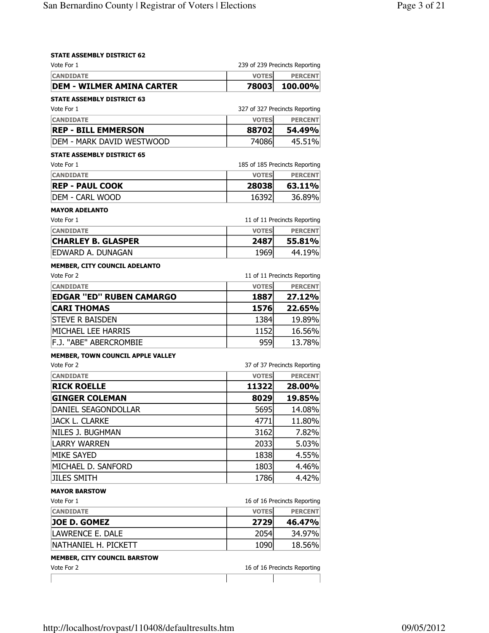# **STATE ASSEMBLY DISTRICT 62**<br>Vote For 1

| Vote For 1                        |              | 239 of 239 Precincts Reporting |
|-----------------------------------|--------------|--------------------------------|
| <b>CANDIDATE</b>                  | <b>VOTES</b> | <b>PERCENT</b>                 |
| <b>DEM - WILMER AMINA CARTER</b>  | 78003        | 100.00%                        |
| <b>STATE ASSEMBLY DISTRICT 63</b> |              |                                |
| Vote For 1                        |              | 327 of 327 Precincts Reporting |
| <b>CANDIDATE</b>                  | <b>VOTES</b> | <b>PERCENT</b>                 |
| <b>REP - BILL EMMERSON</b>        | 88702        | 54.49%                         |
| DEM - MARK DAVID WESTWOOD         | 74086        | 45.51%                         |
| <b>STATE ASSEMBLY DISTRICT 65</b> |              |                                |
| Vote For 1                        |              | 185 of 185 Precincts Reporting |
| <b>CANDIDATE</b>                  | <b>VOTES</b> | <b>PERCENT</b>                 |
| <b>REP - PAUL COOK</b>            | 28038        | 63.11%                         |
| DEM - CARL WOOD                   | 16392        | 36.89%                         |
| <b>MAYOR ADELANTO</b>             |              |                                |
| Vote For 1                        |              | 11 of 11 Precincts Reporting   |
| <b>CANDIDATE</b>                  | <b>VOTES</b> | <b>PERCENT</b>                 |
| <b>CHARLEY B. GLASPER</b>         | 2487         | 55.81%                         |
| EDWARD A. DUNAGAN                 | 1969         | 44.19%                         |
| MEMBER, CITY COUNCIL ADELANTO     |              |                                |
| Vote For 2                        |              | 11 of 11 Precincts Reporting   |
| <b>CANDIDATE</b>                  | <b>VOTES</b> | <b>PERCENT</b>                 |
| <b>EDGAR "ED" RUBEN CAMARGO</b>   | 1887         | 27.12%                         |
| <b>CARI THOMAS</b>                | 1576         | 22.65%                         |
| <b>STEVE R BAISDEN</b>            | 1384         | 19.89%                         |
| MICHAEL LEE HARRIS                | 1152         | 16.56%                         |
| F.J. "ABE" ABERCROMBIE            | 959          | 13.78%                         |
| MEMBER, TOWN COUNCIL APPLE VALLEY |              |                                |
| Vote For 2                        |              | 37 of 37 Precincts Reporting   |
| <b>CANDIDATE</b>                  | <b>VOTES</b> | <b>PERCENT</b>                 |
| <b>RICK ROELLE</b>                | 11322        | 28.00%                         |
| <b>GINGER COLEMAN</b>             | 8029         | 19.85%                         |
| DANIEL SEAGONDOLLAR               | 5695         | 14.08%                         |
| <b>JACK L. CLARKE</b>             | 4771         | 11.80%                         |
| NILES J. BUGHMAN                  | 3162         | 7.82%                          |
| <b>LARRY WARREN</b>               | 2033         | 5.03%                          |
| <b>MIKE SAYED</b>                 | 1838         | 4.55%                          |
| MICHAEL D. SANFORD                | 1803         | 4.46%                          |
| <b>JILES SMITH</b>                | 1786         | 4.42%                          |
| <b>MAYOR BARSTOW</b>              |              |                                |
| Vote For 1                        |              | 16 of 16 Precincts Reporting   |
| <b>CANDIDATE</b>                  | <b>VOTES</b> | <b>PERCENT</b>                 |
| <b>JOE D. GOMEZ</b>               | 2729         | 46.47%                         |
| LAWRENCE E. DALE                  | 2054         | 34.97%                         |
| NATHANIEL H. PICKETT              | 1090         | 18.56%                         |
| MEMBER, CITY COUNCIL BARSTOW      |              |                                |
| Vote For 2                        |              | 16 of 16 Precincts Reporting   |
|                                   |              |                                |
|                                   |              |                                |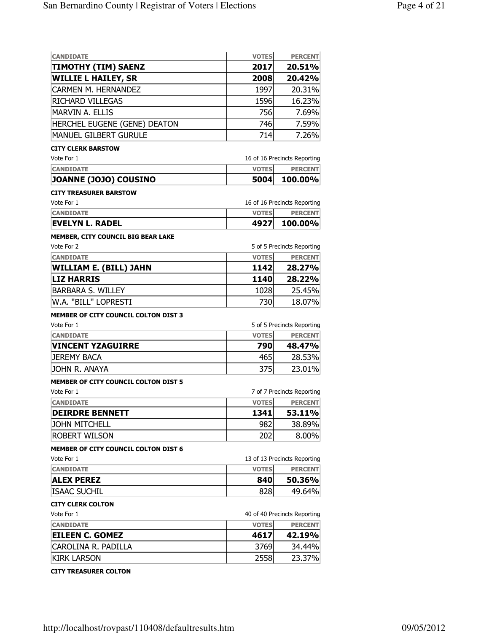| <b>CANDIDATE</b>                            | <b>VOTES</b> | <b>PERCENT</b>               |
|---------------------------------------------|--------------|------------------------------|
| <b>TIMOTHY (TIM) SAENZ</b>                  | 2017         | 20.51%                       |
| <b>WILLIE L HAILEY, SR</b>                  | 2008         | 20.42%                       |
| <b>CARMEN M. HERNANDEZ</b>                  | 1997         | 20.31%                       |
| RICHARD VILLEGAS                            | 1596         | 16.23%                       |
| MARVIN A. ELLIS                             | 756          | 7.69%                        |
| HERCHEL EUGENE (GENE) DEATON                | 746          | 7.59%                        |
| MANUEL GILBERT GURULE                       | 714          | 7.26%                        |
| <b>CITY CLERK BARSTOW</b>                   |              |                              |
| Vote For 1                                  |              | 16 of 16 Precincts Reporting |
| <b>CANDIDATE</b>                            | <b>VOTES</b> | <b>PERCENT</b>               |
| JOANNE (JOJO) COUSINO                       | 5004         | 100.00%                      |
| <b>CITY TREASURER BARSTOW</b>               |              |                              |
| Vote For 1                                  |              | 16 of 16 Precincts Reporting |
| <b>CANDIDATE</b>                            | <b>VOTES</b> | <b>PERCENT</b>               |
| <b>EVELYN L. RADEL</b>                      | 4927         | 100.00%                      |
| MEMBER, CITY COUNCIL BIG BEAR LAKE          |              |                              |
| Vote For 2                                  |              | 5 of 5 Precincts Reporting   |
| <b>CANDIDATE</b>                            | <b>VOTES</b> | <b>PERCENT</b>               |
| <b>WILLIAM E. (BILL) JAHN</b>               | 1142         | 28.27%                       |
| <b>LIZ HARRIS</b>                           | 1140         | 28.22%                       |
| <b>BARBARA S. WILLEY</b>                    | 1028         | 25.45%                       |
| W.A. "BILL" LOPRESTI                        | 730          | 18.07%                       |
| <b>MEMBER OF CITY COUNCIL COLTON DIST 3</b> |              |                              |
| Vote For 1                                  |              | 5 of 5 Precincts Reporting   |
| <b>CANDIDATE</b>                            | <b>VOTES</b> | <b>PERCENT</b>               |
| <b>VINCENT YZAGUIRRE</b>                    | 790          | 48.47%                       |
| <b>JEREMY BACA</b>                          | 465          | 28.53%                       |
| JOHN R. ANAYA                               | 375          | 23.01%                       |
| <b>MEMBER OF CITY COUNCIL COLTON DIST 5</b> |              |                              |
| Vote For 1                                  |              | 7 of 7 Precincts Reporting   |
| <b>CANDIDATE</b>                            | <b>VOTES</b> | <b>PERCENT</b>               |
| <b>DEIRDRE BENNETT</b>                      | 1341         | 53.11%                       |
| <b>JOHN MITCHELL</b>                        | 982          | 38.89%                       |
| <b>ROBERT WILSON</b>                        | 202          | $8.00\%$                     |
| <b>MEMBER OF CITY COUNCIL COLTON DIST 6</b> |              |                              |
| Vote For 1                                  |              | 13 of 13 Precincts Reporting |
| <b>CANDIDATE</b>                            | <b>VOTES</b> | <b>PERCENT</b>               |
| <b>ALEX PEREZ</b>                           | 840          | 50.36%                       |
| <b>ISAAC SUCHIL</b>                         | 828          | 49.64%                       |
| <b>CITY CLERK COLTON</b>                    |              |                              |
| Vote For 1                                  |              | 40 of 40 Precincts Reporting |
| <b>CANDIDATE</b>                            | <b>VOTES</b> | <b>PERCENT</b>               |
| <b>EILEEN C. GOMEZ</b>                      | 4617         | 42.19%                       |
| CAROLINA R. PADILLA                         | 3769         | 34.44%                       |
| <b>KIRK LARSON</b>                          | 2558         | 23.37%                       |
|                                             |              |                              |

CITY TREASURER COLTON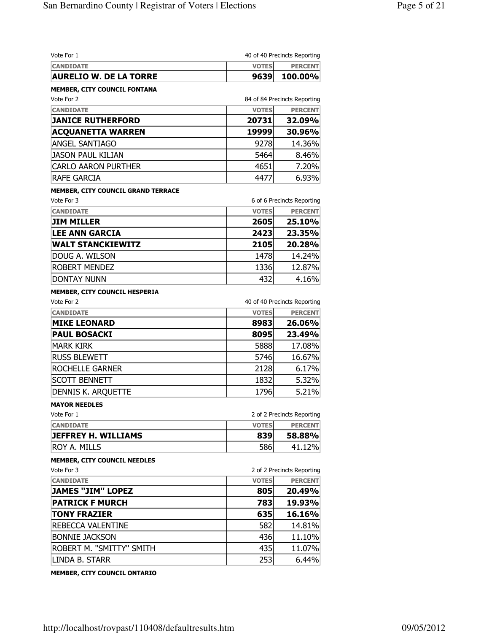| <b>CANDIDATE</b><br><b>VOTES</b><br><b>PERCENT</b><br><b>AURELIO W. DE LA TORRE</b><br>9639<br>84 of 84 Precincts Reporting<br><b>VOTES</b><br><b>CANDIDATE</b><br><b>JANICE RUTHERFORD</b><br>20731<br>32.09%<br><b>ACQUANETTA WARREN</b><br>19999<br>30.96%<br><b>ANGEL SANTIAGO</b><br>14.36%<br>9278<br><b>JASON PAUL KILIAN</b><br>5464<br><b>CARLO AARON PURTHER</b><br>4651<br>RAFE GARCIA<br>4477<br>MEMBER, CITY COUNCIL GRAND TERRACE<br>6 of 6 Precincts Reporting<br><b>CANDIDATE</b><br><b>VOTES</b><br><b>JIM MILLER</b><br>2605<br>25.10%<br><b>LEE ANN GARCIA</b><br>2423<br><b>WALT STANCKIEWITZ</b><br>2105<br>20.28%<br>1478<br>DOUG A. WILSON<br>ROBERT MENDEZ<br>1336<br>12.87%<br><b>DONTAY NUNN</b><br>432<br>4.16%<br>MEMBER, CITY COUNCIL HESPERIA<br>40 of 40 Precincts Reporting<br><b>VOTES</b><br><b>CANDIDATE</b><br><b>MIKE LEONARD</b><br>8983<br>26.06%<br><b>PAUL BOSACKI</b><br>8095<br>23.49%<br><b>MARK KIRK</b><br>5888<br><b>RUSS BLEWETT</b><br>5746<br>ROCHELLE GARNER<br>2128<br><b>SCOTT BENNETT</b><br>1832<br>5.32%<br>1796<br>5.21%<br>DENNIS K. ARQUETTE<br><b>MAYOR NEEDLES</b><br>2 of 2 Precincts Reporting<br><b>VOTES</b><br><b>CANDIDATE</b><br><b>JEFFREY H. WILLIAMS</b><br>839<br>586<br>ROY A. MILLS<br><b>MEMBER, CITY COUNCIL NEEDLES</b><br>2 of 2 Precincts Reporting<br><b>VOTES</b><br><b>CANDIDATE</b><br><b>JAMES "JIM" LOPEZ</b><br>805<br>20.49%<br>783<br>19.93%<br><b>PATRICK F MURCH</b><br><b>TONY FRAZIER</b><br>635<br>16.16%<br>REBECCA VALENTINE<br>582<br><b>BONNIE JACKSON</b><br>436<br>ROBERT M. "SMITTY" SMITH<br>435<br>LINDA B. STARR<br>253<br>6.44% | Vote For 1                   | 40 of 40 Precincts Reporting |
|-----------------------------------------------------------------------------------------------------------------------------------------------------------------------------------------------------------------------------------------------------------------------------------------------------------------------------------------------------------------------------------------------------------------------------------------------------------------------------------------------------------------------------------------------------------------------------------------------------------------------------------------------------------------------------------------------------------------------------------------------------------------------------------------------------------------------------------------------------------------------------------------------------------------------------------------------------------------------------------------------------------------------------------------------------------------------------------------------------------------------------------------------------------------------------------------------------------------------------------------------------------------------------------------------------------------------------------------------------------------------------------------------------------------------------------------------------------------------------------------------------------------------------------------------------------------------------------------------------------------------------------------|------------------------------|------------------------------|
|                                                                                                                                                                                                                                                                                                                                                                                                                                                                                                                                                                                                                                                                                                                                                                                                                                                                                                                                                                                                                                                                                                                                                                                                                                                                                                                                                                                                                                                                                                                                                                                                                                         |                              |                              |
|                                                                                                                                                                                                                                                                                                                                                                                                                                                                                                                                                                                                                                                                                                                                                                                                                                                                                                                                                                                                                                                                                                                                                                                                                                                                                                                                                                                                                                                                                                                                                                                                                                         |                              | 100.00%                      |
|                                                                                                                                                                                                                                                                                                                                                                                                                                                                                                                                                                                                                                                                                                                                                                                                                                                                                                                                                                                                                                                                                                                                                                                                                                                                                                                                                                                                                                                                                                                                                                                                                                         | MEMBER, CITY COUNCIL FONTANA |                              |
|                                                                                                                                                                                                                                                                                                                                                                                                                                                                                                                                                                                                                                                                                                                                                                                                                                                                                                                                                                                                                                                                                                                                                                                                                                                                                                                                                                                                                                                                                                                                                                                                                                         | Vote For 2                   |                              |
|                                                                                                                                                                                                                                                                                                                                                                                                                                                                                                                                                                                                                                                                                                                                                                                                                                                                                                                                                                                                                                                                                                                                                                                                                                                                                                                                                                                                                                                                                                                                                                                                                                         |                              | <b>PERCENT</b>               |
|                                                                                                                                                                                                                                                                                                                                                                                                                                                                                                                                                                                                                                                                                                                                                                                                                                                                                                                                                                                                                                                                                                                                                                                                                                                                                                                                                                                                                                                                                                                                                                                                                                         |                              |                              |
|                                                                                                                                                                                                                                                                                                                                                                                                                                                                                                                                                                                                                                                                                                                                                                                                                                                                                                                                                                                                                                                                                                                                                                                                                                                                                                                                                                                                                                                                                                                                                                                                                                         |                              |                              |
|                                                                                                                                                                                                                                                                                                                                                                                                                                                                                                                                                                                                                                                                                                                                                                                                                                                                                                                                                                                                                                                                                                                                                                                                                                                                                                                                                                                                                                                                                                                                                                                                                                         |                              |                              |
|                                                                                                                                                                                                                                                                                                                                                                                                                                                                                                                                                                                                                                                                                                                                                                                                                                                                                                                                                                                                                                                                                                                                                                                                                                                                                                                                                                                                                                                                                                                                                                                                                                         |                              | 8.46%                        |
|                                                                                                                                                                                                                                                                                                                                                                                                                                                                                                                                                                                                                                                                                                                                                                                                                                                                                                                                                                                                                                                                                                                                                                                                                                                                                                                                                                                                                                                                                                                                                                                                                                         |                              | 7.20%                        |
|                                                                                                                                                                                                                                                                                                                                                                                                                                                                                                                                                                                                                                                                                                                                                                                                                                                                                                                                                                                                                                                                                                                                                                                                                                                                                                                                                                                                                                                                                                                                                                                                                                         |                              | 6.93%                        |
|                                                                                                                                                                                                                                                                                                                                                                                                                                                                                                                                                                                                                                                                                                                                                                                                                                                                                                                                                                                                                                                                                                                                                                                                                                                                                                                                                                                                                                                                                                                                                                                                                                         |                              |                              |
|                                                                                                                                                                                                                                                                                                                                                                                                                                                                                                                                                                                                                                                                                                                                                                                                                                                                                                                                                                                                                                                                                                                                                                                                                                                                                                                                                                                                                                                                                                                                                                                                                                         | Vote For 3                   |                              |
|                                                                                                                                                                                                                                                                                                                                                                                                                                                                                                                                                                                                                                                                                                                                                                                                                                                                                                                                                                                                                                                                                                                                                                                                                                                                                                                                                                                                                                                                                                                                                                                                                                         |                              | <b>PERCENT</b>               |
|                                                                                                                                                                                                                                                                                                                                                                                                                                                                                                                                                                                                                                                                                                                                                                                                                                                                                                                                                                                                                                                                                                                                                                                                                                                                                                                                                                                                                                                                                                                                                                                                                                         |                              |                              |
|                                                                                                                                                                                                                                                                                                                                                                                                                                                                                                                                                                                                                                                                                                                                                                                                                                                                                                                                                                                                                                                                                                                                                                                                                                                                                                                                                                                                                                                                                                                                                                                                                                         |                              | 23.35%                       |
|                                                                                                                                                                                                                                                                                                                                                                                                                                                                                                                                                                                                                                                                                                                                                                                                                                                                                                                                                                                                                                                                                                                                                                                                                                                                                                                                                                                                                                                                                                                                                                                                                                         |                              |                              |
|                                                                                                                                                                                                                                                                                                                                                                                                                                                                                                                                                                                                                                                                                                                                                                                                                                                                                                                                                                                                                                                                                                                                                                                                                                                                                                                                                                                                                                                                                                                                                                                                                                         |                              | 14.24%                       |
|                                                                                                                                                                                                                                                                                                                                                                                                                                                                                                                                                                                                                                                                                                                                                                                                                                                                                                                                                                                                                                                                                                                                                                                                                                                                                                                                                                                                                                                                                                                                                                                                                                         |                              |                              |
|                                                                                                                                                                                                                                                                                                                                                                                                                                                                                                                                                                                                                                                                                                                                                                                                                                                                                                                                                                                                                                                                                                                                                                                                                                                                                                                                                                                                                                                                                                                                                                                                                                         |                              |                              |
|                                                                                                                                                                                                                                                                                                                                                                                                                                                                                                                                                                                                                                                                                                                                                                                                                                                                                                                                                                                                                                                                                                                                                                                                                                                                                                                                                                                                                                                                                                                                                                                                                                         |                              |                              |
|                                                                                                                                                                                                                                                                                                                                                                                                                                                                                                                                                                                                                                                                                                                                                                                                                                                                                                                                                                                                                                                                                                                                                                                                                                                                                                                                                                                                                                                                                                                                                                                                                                         | Vote For 2                   |                              |
|                                                                                                                                                                                                                                                                                                                                                                                                                                                                                                                                                                                                                                                                                                                                                                                                                                                                                                                                                                                                                                                                                                                                                                                                                                                                                                                                                                                                                                                                                                                                                                                                                                         |                              | <b>PERCENT</b>               |
|                                                                                                                                                                                                                                                                                                                                                                                                                                                                                                                                                                                                                                                                                                                                                                                                                                                                                                                                                                                                                                                                                                                                                                                                                                                                                                                                                                                                                                                                                                                                                                                                                                         |                              |                              |
|                                                                                                                                                                                                                                                                                                                                                                                                                                                                                                                                                                                                                                                                                                                                                                                                                                                                                                                                                                                                                                                                                                                                                                                                                                                                                                                                                                                                                                                                                                                                                                                                                                         |                              |                              |
|                                                                                                                                                                                                                                                                                                                                                                                                                                                                                                                                                                                                                                                                                                                                                                                                                                                                                                                                                                                                                                                                                                                                                                                                                                                                                                                                                                                                                                                                                                                                                                                                                                         |                              | 17.08%                       |
|                                                                                                                                                                                                                                                                                                                                                                                                                                                                                                                                                                                                                                                                                                                                                                                                                                                                                                                                                                                                                                                                                                                                                                                                                                                                                                                                                                                                                                                                                                                                                                                                                                         |                              | 16.67%                       |
|                                                                                                                                                                                                                                                                                                                                                                                                                                                                                                                                                                                                                                                                                                                                                                                                                                                                                                                                                                                                                                                                                                                                                                                                                                                                                                                                                                                                                                                                                                                                                                                                                                         |                              | 6.17%                        |
|                                                                                                                                                                                                                                                                                                                                                                                                                                                                                                                                                                                                                                                                                                                                                                                                                                                                                                                                                                                                                                                                                                                                                                                                                                                                                                                                                                                                                                                                                                                                                                                                                                         |                              |                              |
|                                                                                                                                                                                                                                                                                                                                                                                                                                                                                                                                                                                                                                                                                                                                                                                                                                                                                                                                                                                                                                                                                                                                                                                                                                                                                                                                                                                                                                                                                                                                                                                                                                         |                              |                              |
|                                                                                                                                                                                                                                                                                                                                                                                                                                                                                                                                                                                                                                                                                                                                                                                                                                                                                                                                                                                                                                                                                                                                                                                                                                                                                                                                                                                                                                                                                                                                                                                                                                         |                              |                              |
|                                                                                                                                                                                                                                                                                                                                                                                                                                                                                                                                                                                                                                                                                                                                                                                                                                                                                                                                                                                                                                                                                                                                                                                                                                                                                                                                                                                                                                                                                                                                                                                                                                         | Vote For 1                   |                              |
|                                                                                                                                                                                                                                                                                                                                                                                                                                                                                                                                                                                                                                                                                                                                                                                                                                                                                                                                                                                                                                                                                                                                                                                                                                                                                                                                                                                                                                                                                                                                                                                                                                         |                              | <b>PERCENT</b>               |
|                                                                                                                                                                                                                                                                                                                                                                                                                                                                                                                                                                                                                                                                                                                                                                                                                                                                                                                                                                                                                                                                                                                                                                                                                                                                                                                                                                                                                                                                                                                                                                                                                                         |                              | 58.88%                       |
|                                                                                                                                                                                                                                                                                                                                                                                                                                                                                                                                                                                                                                                                                                                                                                                                                                                                                                                                                                                                                                                                                                                                                                                                                                                                                                                                                                                                                                                                                                                                                                                                                                         |                              | 41.12%                       |
|                                                                                                                                                                                                                                                                                                                                                                                                                                                                                                                                                                                                                                                                                                                                                                                                                                                                                                                                                                                                                                                                                                                                                                                                                                                                                                                                                                                                                                                                                                                                                                                                                                         |                              |                              |
|                                                                                                                                                                                                                                                                                                                                                                                                                                                                                                                                                                                                                                                                                                                                                                                                                                                                                                                                                                                                                                                                                                                                                                                                                                                                                                                                                                                                                                                                                                                                                                                                                                         | Vote For 3                   |                              |
|                                                                                                                                                                                                                                                                                                                                                                                                                                                                                                                                                                                                                                                                                                                                                                                                                                                                                                                                                                                                                                                                                                                                                                                                                                                                                                                                                                                                                                                                                                                                                                                                                                         |                              | <b>PERCENT</b>               |
|                                                                                                                                                                                                                                                                                                                                                                                                                                                                                                                                                                                                                                                                                                                                                                                                                                                                                                                                                                                                                                                                                                                                                                                                                                                                                                                                                                                                                                                                                                                                                                                                                                         |                              |                              |
|                                                                                                                                                                                                                                                                                                                                                                                                                                                                                                                                                                                                                                                                                                                                                                                                                                                                                                                                                                                                                                                                                                                                                                                                                                                                                                                                                                                                                                                                                                                                                                                                                                         |                              |                              |
|                                                                                                                                                                                                                                                                                                                                                                                                                                                                                                                                                                                                                                                                                                                                                                                                                                                                                                                                                                                                                                                                                                                                                                                                                                                                                                                                                                                                                                                                                                                                                                                                                                         |                              |                              |
|                                                                                                                                                                                                                                                                                                                                                                                                                                                                                                                                                                                                                                                                                                                                                                                                                                                                                                                                                                                                                                                                                                                                                                                                                                                                                                                                                                                                                                                                                                                                                                                                                                         |                              | 14.81%                       |
|                                                                                                                                                                                                                                                                                                                                                                                                                                                                                                                                                                                                                                                                                                                                                                                                                                                                                                                                                                                                                                                                                                                                                                                                                                                                                                                                                                                                                                                                                                                                                                                                                                         |                              | 11.10%                       |
|                                                                                                                                                                                                                                                                                                                                                                                                                                                                                                                                                                                                                                                                                                                                                                                                                                                                                                                                                                                                                                                                                                                                                                                                                                                                                                                                                                                                                                                                                                                                                                                                                                         |                              | 11.07%                       |
|                                                                                                                                                                                                                                                                                                                                                                                                                                                                                                                                                                                                                                                                                                                                                                                                                                                                                                                                                                                                                                                                                                                                                                                                                                                                                                                                                                                                                                                                                                                                                                                                                                         |                              |                              |

MEMBER, CITY COUNCIL ONTARIO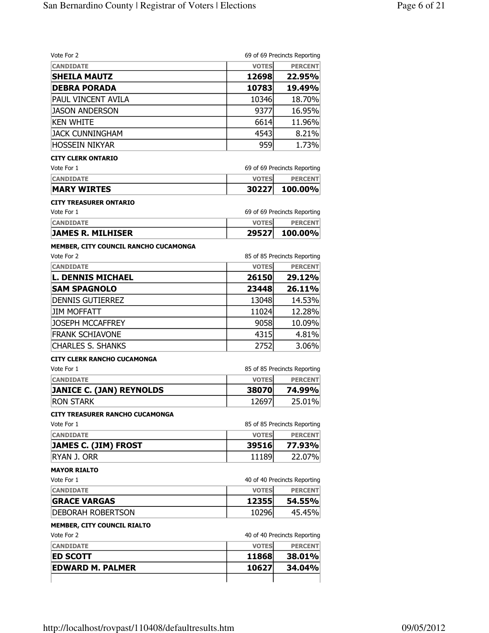| Vote For 2                             |              | 69 of 69 Precincts Reporting |
|----------------------------------------|--------------|------------------------------|
| <b>CANDIDATE</b>                       | <b>VOTES</b> | <b>PERCENT</b>               |
| <b>SHEILA MAUTZ</b>                    | 12698        | 22.95%                       |
| <b>DEBRA PORADA</b>                    | 10783        | 19.49%                       |
| PAUL VINCENT AVILA                     | 10346        | 18.70%                       |
| <b>JASON ANDERSON</b>                  | 9377         | 16.95%                       |
| <b>KEN WHITE</b>                       | 6614         | 11.96%                       |
| <b>JACK CUNNINGHAM</b>                 | 4543         | 8.21%                        |
| <b>HOSSEIN NIKYAR</b>                  | 959          | 1.73%                        |
| <b>CITY CLERK ONTARIO</b>              |              |                              |
| Vote For 1                             |              | 69 of 69 Precincts Reporting |
| <b>CANDIDATE</b>                       | <b>VOTES</b> | <b>PERCENT</b>               |
| <b>MARY WIRTES</b>                     | 30227        | 100.00%                      |
| <b>CITY TREASURER ONTARIO</b>          |              |                              |
| Vote For 1                             |              | 69 of 69 Precincts Reporting |
| <b>CANDIDATE</b>                       | <b>VOTES</b> | <b>PERCENT</b>               |
| <b>JAMES R. MILHISER</b>               | 29527        | 100.00%                      |
| MEMBER, CITY COUNCIL RANCHO CUCAMONGA  |              |                              |
| Vote For 2                             |              | 85 of 85 Precincts Reporting |
| <b>CANDIDATE</b>                       | <b>VOTES</b> | <b>PERCENT</b>               |
| <b>L. DENNIS MICHAEL</b>               | 26150        | 29.12%                       |
| <b>SAM SPAGNOLO</b>                    | 23448        | 26.11%                       |
| <b>DENNIS GUTIERREZ</b>                | 13048        | 14.53%                       |
| <b>JIM MOFFATT</b>                     | 11024        | 12.28%                       |
| <b>JOSEPH MCCAFFREY</b>                | 9058         | 10.09%                       |
| <b>FRANK SCHIAVONE</b>                 | 4315         | 4.81%                        |
| <b>CHARLES S. SHANKS</b>               | 2752         | 3.06%                        |
| <b>CITY CLERK RANCHO CUCAMONGA</b>     |              |                              |
| Vote For 1                             |              | 85 of 85 Precincts Reporting |
| <b>CANDIDATE</b>                       | <b>VOTES</b> | <b>PERCENT</b>               |
| <b>JANICE C. (JAN) REYNOLDS</b>        | 38070        | 74.99%                       |
| <b>RON STARK</b>                       | 12697        | 25.01%                       |
| <b>CITY TREASURER RANCHO CUCAMONGA</b> |              |                              |
| Vote For 1                             |              | 85 of 85 Precincts Reporting |
| <b>CANDIDATE</b>                       | <b>VOTES</b> | <b>PERCENT</b>               |
| <b>JAMES C. (JIM) FROST</b>            | 39516        | 77.93%                       |
| <b>RYAN J. ORR</b>                     | 11189        | 22.07%                       |
| <b>MAYOR RIALTO</b>                    |              |                              |
| Vote For 1                             |              | 40 of 40 Precincts Reporting |
| <b>CANDIDATE</b>                       | <b>VOTES</b> | <b>PERCENT</b>               |
| <b>GRACE VARGAS</b>                    | 12355        | 54.55%                       |
| DEBORAH ROBERTSON                      | 10296        | 45.45%                       |
| MEMBER, CITY COUNCIL RIALTO            |              |                              |
| Vote For 2                             |              | 40 of 40 Precincts Reporting |
| <b>CANDIDATE</b>                       | <b>VOTES</b> | <b>PERCENT</b>               |
| <b>ED SCOTT</b>                        | 11868        | 38.01%                       |
| <b>EDWARD M. PALMER</b>                | 10627        | 34.04%                       |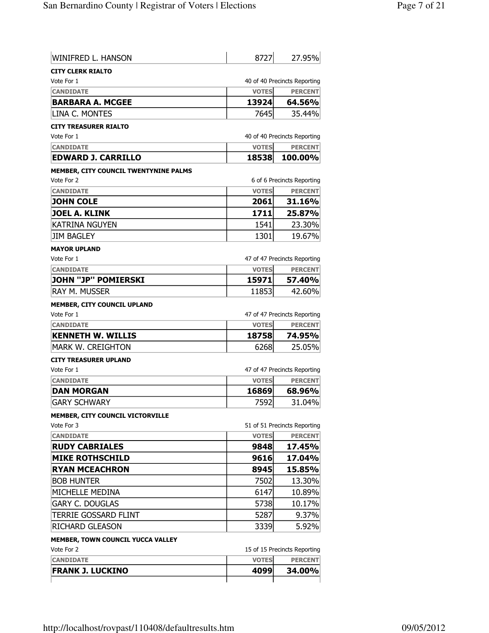| 40 of 40 Precincts Reporting<br><b>VOTES</b><br><b>CANDIDATE</b><br><b>BARBARA A. MCGEE</b><br>13924<br>LINA C. MONTES<br>7645<br>40 of 40 Precincts Reporting<br><b>CANDIDATE</b><br><b>VOTES</b><br><b>EDWARD J. CARRILLO</b><br>100.00%<br>18538<br>6 of 6 Precincts Reporting<br><b>VOTES</b><br><b>CANDIDATE</b><br><b>PERCENT</b><br>2061<br><b>JOHN COLE</b><br>1711<br><b>JOEL A. KLINK</b><br><b>KATRINA NGUYEN</b><br>1541<br><b>JIM BAGLEY</b><br>1301<br>19.67%<br>47 of 47 Precincts Reporting<br><b>VOTES</b><br><b>CANDIDATE</b><br><b>JOHN "JP" POMIERSKI</b><br>15971<br><b>RAY M. MUSSER</b><br>11853<br><b>MEMBER, CITY COUNCIL UPLAND</b><br>47 of 47 Precincts Reporting<br><b>VOTES</b><br><b>CANDIDATE</b><br><b>KENNETH W. WILLIS</b><br>18758<br><b>MARK W. CREIGHTON</b><br>6268<br>47 of 47 Precincts Reporting<br><b>CANDIDATE</b><br><b>VOTES</b><br><b>DAN MORGAN</b><br>16869<br><b>GARY SCHWARY</b><br>7592<br>MEMBER, CITY COUNCIL VICTORVILLE<br>51 of 51 Precincts Reporting<br><b>VOTES</b><br><b>CANDIDATE</b><br><b>RUDY CABRIALES</b><br>9848<br><b>MIKE ROTHSCHILD</b><br>17.04%<br>9616<br><b>RYAN MCEACHRON</b><br>8945<br>15.85%<br><b>BOB HUNTER</b><br>7502<br>13.30%<br>MICHELLE MEDINA<br>6147<br>10.89%<br><b>GARY C. DOUGLAS</b><br>5738<br>10.17%<br>TERRIE GOSSARD FLINT<br>5287<br>9.37%<br><b>RICHARD GLEASON</b><br>3339<br>5.92%<br>MEMBER, TOWN COUNCIL YUCCA VALLEY<br>Vote For 2<br>15 of 15 Precincts Reporting<br><b>VOTES</b><br><b>PERCENT</b><br><b>CANDIDATE</b><br><b>FRANK J. LUCKINO</b><br>4099<br>34.00% | <b>WINIFRED L. HANSON</b>                    | 8727 | 27.95%         |
|-------------------------------------------------------------------------------------------------------------------------------------------------------------------------------------------------------------------------------------------------------------------------------------------------------------------------------------------------------------------------------------------------------------------------------------------------------------------------------------------------------------------------------------------------------------------------------------------------------------------------------------------------------------------------------------------------------------------------------------------------------------------------------------------------------------------------------------------------------------------------------------------------------------------------------------------------------------------------------------------------------------------------------------------------------------------------------------------------------------------------------------------------------------------------------------------------------------------------------------------------------------------------------------------------------------------------------------------------------------------------------------------------------------------------------------------------------------------------------------------------------------------------------------------------------------------------------|----------------------------------------------|------|----------------|
|                                                                                                                                                                                                                                                                                                                                                                                                                                                                                                                                                                                                                                                                                                                                                                                                                                                                                                                                                                                                                                                                                                                                                                                                                                                                                                                                                                                                                                                                                                                                                                               | <b>CITY CLERK RIALTO</b>                     |      |                |
|                                                                                                                                                                                                                                                                                                                                                                                                                                                                                                                                                                                                                                                                                                                                                                                                                                                                                                                                                                                                                                                                                                                                                                                                                                                                                                                                                                                                                                                                                                                                                                               | Vote For 1                                   |      |                |
|                                                                                                                                                                                                                                                                                                                                                                                                                                                                                                                                                                                                                                                                                                                                                                                                                                                                                                                                                                                                                                                                                                                                                                                                                                                                                                                                                                                                                                                                                                                                                                               |                                              |      | <b>PERCENT</b> |
|                                                                                                                                                                                                                                                                                                                                                                                                                                                                                                                                                                                                                                                                                                                                                                                                                                                                                                                                                                                                                                                                                                                                                                                                                                                                                                                                                                                                                                                                                                                                                                               |                                              |      | 64.56%         |
|                                                                                                                                                                                                                                                                                                                                                                                                                                                                                                                                                                                                                                                                                                                                                                                                                                                                                                                                                                                                                                                                                                                                                                                                                                                                                                                                                                                                                                                                                                                                                                               |                                              |      | 35.44%         |
|                                                                                                                                                                                                                                                                                                                                                                                                                                                                                                                                                                                                                                                                                                                                                                                                                                                                                                                                                                                                                                                                                                                                                                                                                                                                                                                                                                                                                                                                                                                                                                               | <b>CITY TREASURER RIALTO</b>                 |      |                |
|                                                                                                                                                                                                                                                                                                                                                                                                                                                                                                                                                                                                                                                                                                                                                                                                                                                                                                                                                                                                                                                                                                                                                                                                                                                                                                                                                                                                                                                                                                                                                                               | Vote For 1                                   |      |                |
|                                                                                                                                                                                                                                                                                                                                                                                                                                                                                                                                                                                                                                                                                                                                                                                                                                                                                                                                                                                                                                                                                                                                                                                                                                                                                                                                                                                                                                                                                                                                                                               |                                              |      | <b>PERCENT</b> |
|                                                                                                                                                                                                                                                                                                                                                                                                                                                                                                                                                                                                                                                                                                                                                                                                                                                                                                                                                                                                                                                                                                                                                                                                                                                                                                                                                                                                                                                                                                                                                                               |                                              |      |                |
|                                                                                                                                                                                                                                                                                                                                                                                                                                                                                                                                                                                                                                                                                                                                                                                                                                                                                                                                                                                                                                                                                                                                                                                                                                                                                                                                                                                                                                                                                                                                                                               | <b>MEMBER, CITY COUNCIL TWENTYNINE PALMS</b> |      |                |
|                                                                                                                                                                                                                                                                                                                                                                                                                                                                                                                                                                                                                                                                                                                                                                                                                                                                                                                                                                                                                                                                                                                                                                                                                                                                                                                                                                                                                                                                                                                                                                               | Vote For 2                                   |      |                |
|                                                                                                                                                                                                                                                                                                                                                                                                                                                                                                                                                                                                                                                                                                                                                                                                                                                                                                                                                                                                                                                                                                                                                                                                                                                                                                                                                                                                                                                                                                                                                                               |                                              |      |                |
|                                                                                                                                                                                                                                                                                                                                                                                                                                                                                                                                                                                                                                                                                                                                                                                                                                                                                                                                                                                                                                                                                                                                                                                                                                                                                                                                                                                                                                                                                                                                                                               |                                              |      | 31.16%         |
|                                                                                                                                                                                                                                                                                                                                                                                                                                                                                                                                                                                                                                                                                                                                                                                                                                                                                                                                                                                                                                                                                                                                                                                                                                                                                                                                                                                                                                                                                                                                                                               |                                              |      | 25.87%         |
|                                                                                                                                                                                                                                                                                                                                                                                                                                                                                                                                                                                                                                                                                                                                                                                                                                                                                                                                                                                                                                                                                                                                                                                                                                                                                                                                                                                                                                                                                                                                                                               |                                              |      | 23.30%         |
|                                                                                                                                                                                                                                                                                                                                                                                                                                                                                                                                                                                                                                                                                                                                                                                                                                                                                                                                                                                                                                                                                                                                                                                                                                                                                                                                                                                                                                                                                                                                                                               |                                              |      |                |
|                                                                                                                                                                                                                                                                                                                                                                                                                                                                                                                                                                                                                                                                                                                                                                                                                                                                                                                                                                                                                                                                                                                                                                                                                                                                                                                                                                                                                                                                                                                                                                               | <b>MAYOR UPLAND</b>                          |      |                |
|                                                                                                                                                                                                                                                                                                                                                                                                                                                                                                                                                                                                                                                                                                                                                                                                                                                                                                                                                                                                                                                                                                                                                                                                                                                                                                                                                                                                                                                                                                                                                                               | Vote For 1                                   |      |                |
|                                                                                                                                                                                                                                                                                                                                                                                                                                                                                                                                                                                                                                                                                                                                                                                                                                                                                                                                                                                                                                                                                                                                                                                                                                                                                                                                                                                                                                                                                                                                                                               |                                              |      | <b>PERCENT</b> |
|                                                                                                                                                                                                                                                                                                                                                                                                                                                                                                                                                                                                                                                                                                                                                                                                                                                                                                                                                                                                                                                                                                                                                                                                                                                                                                                                                                                                                                                                                                                                                                               |                                              |      | 57.40%         |
|                                                                                                                                                                                                                                                                                                                                                                                                                                                                                                                                                                                                                                                                                                                                                                                                                                                                                                                                                                                                                                                                                                                                                                                                                                                                                                                                                                                                                                                                                                                                                                               |                                              |      | 42.60%         |
|                                                                                                                                                                                                                                                                                                                                                                                                                                                                                                                                                                                                                                                                                                                                                                                                                                                                                                                                                                                                                                                                                                                                                                                                                                                                                                                                                                                                                                                                                                                                                                               |                                              |      |                |
|                                                                                                                                                                                                                                                                                                                                                                                                                                                                                                                                                                                                                                                                                                                                                                                                                                                                                                                                                                                                                                                                                                                                                                                                                                                                                                                                                                                                                                                                                                                                                                               | Vote For 1                                   |      |                |
|                                                                                                                                                                                                                                                                                                                                                                                                                                                                                                                                                                                                                                                                                                                                                                                                                                                                                                                                                                                                                                                                                                                                                                                                                                                                                                                                                                                                                                                                                                                                                                               |                                              |      | <b>PERCENT</b> |
|                                                                                                                                                                                                                                                                                                                                                                                                                                                                                                                                                                                                                                                                                                                                                                                                                                                                                                                                                                                                                                                                                                                                                                                                                                                                                                                                                                                                                                                                                                                                                                               |                                              |      | 74.95%         |
|                                                                                                                                                                                                                                                                                                                                                                                                                                                                                                                                                                                                                                                                                                                                                                                                                                                                                                                                                                                                                                                                                                                                                                                                                                                                                                                                                                                                                                                                                                                                                                               |                                              |      | 25.05%         |
|                                                                                                                                                                                                                                                                                                                                                                                                                                                                                                                                                                                                                                                                                                                                                                                                                                                                                                                                                                                                                                                                                                                                                                                                                                                                                                                                                                                                                                                                                                                                                                               | <b>CITY TREASURER UPLAND</b>                 |      |                |
|                                                                                                                                                                                                                                                                                                                                                                                                                                                                                                                                                                                                                                                                                                                                                                                                                                                                                                                                                                                                                                                                                                                                                                                                                                                                                                                                                                                                                                                                                                                                                                               | Vote For 1                                   |      |                |
|                                                                                                                                                                                                                                                                                                                                                                                                                                                                                                                                                                                                                                                                                                                                                                                                                                                                                                                                                                                                                                                                                                                                                                                                                                                                                                                                                                                                                                                                                                                                                                               |                                              |      | <b>PERCENT</b> |
|                                                                                                                                                                                                                                                                                                                                                                                                                                                                                                                                                                                                                                                                                                                                                                                                                                                                                                                                                                                                                                                                                                                                                                                                                                                                                                                                                                                                                                                                                                                                                                               |                                              |      | 68.96%         |
|                                                                                                                                                                                                                                                                                                                                                                                                                                                                                                                                                                                                                                                                                                                                                                                                                                                                                                                                                                                                                                                                                                                                                                                                                                                                                                                                                                                                                                                                                                                                                                               |                                              |      | 31.04%         |
|                                                                                                                                                                                                                                                                                                                                                                                                                                                                                                                                                                                                                                                                                                                                                                                                                                                                                                                                                                                                                                                                                                                                                                                                                                                                                                                                                                                                                                                                                                                                                                               |                                              |      |                |
|                                                                                                                                                                                                                                                                                                                                                                                                                                                                                                                                                                                                                                                                                                                                                                                                                                                                                                                                                                                                                                                                                                                                                                                                                                                                                                                                                                                                                                                                                                                                                                               | Vote For 3                                   |      |                |
|                                                                                                                                                                                                                                                                                                                                                                                                                                                                                                                                                                                                                                                                                                                                                                                                                                                                                                                                                                                                                                                                                                                                                                                                                                                                                                                                                                                                                                                                                                                                                                               |                                              |      | <b>PERCENT</b> |
|                                                                                                                                                                                                                                                                                                                                                                                                                                                                                                                                                                                                                                                                                                                                                                                                                                                                                                                                                                                                                                                                                                                                                                                                                                                                                                                                                                                                                                                                                                                                                                               |                                              |      | 17.45%         |
|                                                                                                                                                                                                                                                                                                                                                                                                                                                                                                                                                                                                                                                                                                                                                                                                                                                                                                                                                                                                                                                                                                                                                                                                                                                                                                                                                                                                                                                                                                                                                                               |                                              |      |                |
|                                                                                                                                                                                                                                                                                                                                                                                                                                                                                                                                                                                                                                                                                                                                                                                                                                                                                                                                                                                                                                                                                                                                                                                                                                                                                                                                                                                                                                                                                                                                                                               |                                              |      |                |
|                                                                                                                                                                                                                                                                                                                                                                                                                                                                                                                                                                                                                                                                                                                                                                                                                                                                                                                                                                                                                                                                                                                                                                                                                                                                                                                                                                                                                                                                                                                                                                               |                                              |      |                |
|                                                                                                                                                                                                                                                                                                                                                                                                                                                                                                                                                                                                                                                                                                                                                                                                                                                                                                                                                                                                                                                                                                                                                                                                                                                                                                                                                                                                                                                                                                                                                                               |                                              |      |                |
|                                                                                                                                                                                                                                                                                                                                                                                                                                                                                                                                                                                                                                                                                                                                                                                                                                                                                                                                                                                                                                                                                                                                                                                                                                                                                                                                                                                                                                                                                                                                                                               |                                              |      |                |
|                                                                                                                                                                                                                                                                                                                                                                                                                                                                                                                                                                                                                                                                                                                                                                                                                                                                                                                                                                                                                                                                                                                                                                                                                                                                                                                                                                                                                                                                                                                                                                               |                                              |      |                |
|                                                                                                                                                                                                                                                                                                                                                                                                                                                                                                                                                                                                                                                                                                                                                                                                                                                                                                                                                                                                                                                                                                                                                                                                                                                                                                                                                                                                                                                                                                                                                                               |                                              |      |                |
|                                                                                                                                                                                                                                                                                                                                                                                                                                                                                                                                                                                                                                                                                                                                                                                                                                                                                                                                                                                                                                                                                                                                                                                                                                                                                                                                                                                                                                                                                                                                                                               |                                              |      |                |
|                                                                                                                                                                                                                                                                                                                                                                                                                                                                                                                                                                                                                                                                                                                                                                                                                                                                                                                                                                                                                                                                                                                                                                                                                                                                                                                                                                                                                                                                                                                                                                               |                                              |      |                |
|                                                                                                                                                                                                                                                                                                                                                                                                                                                                                                                                                                                                                                                                                                                                                                                                                                                                                                                                                                                                                                                                                                                                                                                                                                                                                                                                                                                                                                                                                                                                                                               |                                              |      |                |
|                                                                                                                                                                                                                                                                                                                                                                                                                                                                                                                                                                                                                                                                                                                                                                                                                                                                                                                                                                                                                                                                                                                                                                                                                                                                                                                                                                                                                                                                                                                                                                               |                                              |      |                |
|                                                                                                                                                                                                                                                                                                                                                                                                                                                                                                                                                                                                                                                                                                                                                                                                                                                                                                                                                                                                                                                                                                                                                                                                                                                                                                                                                                                                                                                                                                                                                                               |                                              |      |                |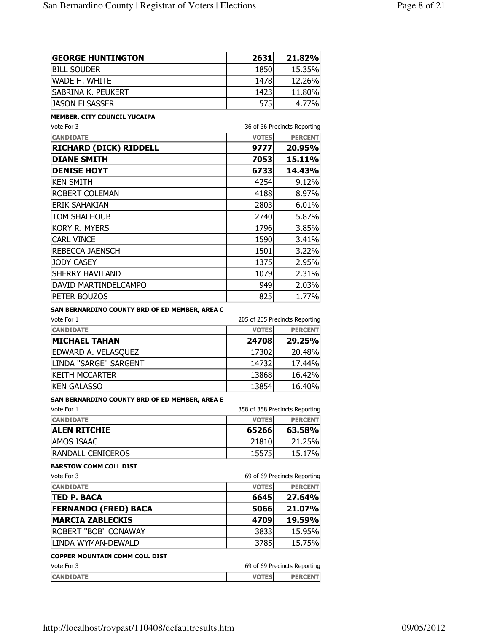| <b>GEORGE HUNTINGTON</b>  | 2631 | 21.82% |
|---------------------------|------|--------|
| BILL SOUDER               | 1850 | 15.35% |
| IWADE H. WHITE            | 1478 | 12.26% |
| <b>SABRINA K. PEUKERT</b> | 1423 | 11.80% |
| <b>JASON ELSASSER</b>     | 575  | 4.77%  |

## MEMBER, CITY COUNCIL YUCAIPA

| Vote For 3                    | 36 of 36 Precincts Reporting |                |
|-------------------------------|------------------------------|----------------|
| <b>CANDIDATE</b>              | <b>VOTES</b>                 | <b>PERCENT</b> |
| <b>RICHARD (DICK) RIDDELL</b> | 9777                         | 20.95%         |
| <b>DIANE SMITH</b>            | 7053                         | 15.11%         |
| <b>DENISE HOYT</b>            | 6733                         | 14.43%         |
| ken smith                     | 4254                         | 9.12%          |
| ROBERT COLEMAN                | 4188                         | 8.97%          |
| ERIK SAHAKIAN                 | 2803                         | 6.01%          |
| TOM SHALHOUB                  | 2740                         | 5.87%          |
| KORY R. MYERS                 | 1796                         | 3.85%          |
| <b>CARL VINCE</b>             | 1590                         | 3.41%          |
| REBECCA JAENSCH               | 1501                         | 3.22%          |
| <b>JODY CASEY</b>             | 1375                         | 2.95%          |
| SHERRY HAVILAND               | 1079                         | 2.31%          |
| DAVID MARTINDELCAMPO          | 949                          | 2.03%          |
| PETER BOUZOS                  | 825                          | 1.77%          |

### SAN BERNARDINO COUNTY BRD OF ED MEMBER, AREA C

| Vote For 1            |              | 205 of 205 Precincts Reporting |
|-----------------------|--------------|--------------------------------|
| <b>CANDIDATE</b>      | <b>VOTES</b> | <b>PERCENT</b>                 |
| <b>MICHAEL TAHAN</b>  | 24708        | 29.25%                         |
| EDWARD A. VELASQUEZ   | 17302        | 20.48%                         |
| LINDA "SARGE" SARGENT | 14732        | 17.44%                         |
| KEITH MCCARTER        | 13868        | 16.42%                         |
| KEN GALASSO           | 13854        | 16.40%                         |

#### SAN BERNARDINO COUNTY BRD OF ED MEMBER, AREA E

| Vote For 1          |              | 358 of 358 Precincts Reporting |
|---------------------|--------------|--------------------------------|
| <b>CANDIDATE</b>    | <b>VOTES</b> | <b>PERCENT</b>                 |
| <b>ALEN RITCHIE</b> | 65266        | 63.58%                         |
| AMOS ISAAC          | 21810        | 21.25%                         |
| RANDALL CENICEROS   | 15575        | 15.17%                         |

## BARSTOW COMM COLL DIST

| Vote For 3                            |              | 69 of 69 Precincts Reporting |
|---------------------------------------|--------------|------------------------------|
| <b>CANDIDATE</b>                      | <b>VOTES</b> | <b>PERCENT</b>               |
| <b>TED P. BACA</b>                    | 6645         | 27.64%                       |
| <b>FERNANDO (FRED) BACA</b>           | 5066         | 21.07%                       |
| <b>MARCIA ZABLECKIS</b>               | 4709         | 19.59%                       |
| <b>ROBERT "BOB" CONAWAY</b>           | 3833         | 15.95%                       |
| ILINDA WYMAN-DEWALD                   | 3785         | 15.75%                       |
| <b>COPPER MOUNTAIN COMM COLL DIST</b> |              |                              |
| Vote For 3                            |              | 69 of 69 Precincts Reporting |
| <b>CANDIDATE</b>                      | <b>VOTES</b> | <b>PERCENT</b>               |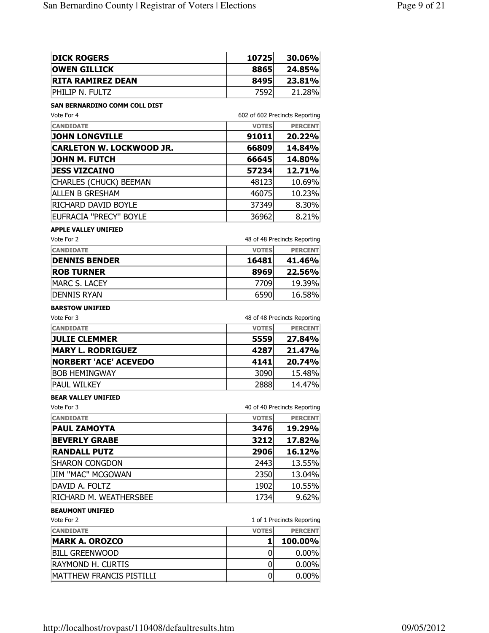| <b>DICK ROGERS</b>       | 10725 | 30.06% |
|--------------------------|-------|--------|
| <b>OWEN GILLICK</b>      | 8865  | 24.85% |
| <b>RITA RAMIREZ DEAN</b> | 8495  | 23.81% |
| iphilip N. Fultz         | 7592  | 21.28% |

## SAN BERNARDINO COMM COLL DIST

| Vote For 4                      |              | 602 of 602 Precincts Reporting |
|---------------------------------|--------------|--------------------------------|
| <b>CANDIDATE</b>                | <b>VOTES</b> | <b>PERCENT</b>                 |
| <b>JOHN LONGVILLE</b>           | 91011        | 20.22%                         |
| <b>CARLETON W. LOCKWOOD JR.</b> | 66809        | 14.84%                         |
| JOHN M. FUTCH                   | 66645        | 14.80%                         |
| <b>JESS VIZCAINO</b>            | 57234        | 12.71%                         |
| CHARLES (CHUCK) BEEMAN          | 48123        | 10.69%                         |
| <b>ALLEN B GRESHAM</b>          | 46075        | 10.23%                         |
| RICHARD DAVID BOYLE             | 37349        | 8.30%                          |
| EUFRACIA "PRECY" BOYLE          | 36962        | 8.21%                          |

#### APPLE VALLEY UNIFIED

| Vote For 2           |              | 48 of 48 Precincts Reporting |
|----------------------|--------------|------------------------------|
| <b>CANDIDATE</b>     | <b>VOTES</b> | <b>PERCENT</b>               |
| <b>DENNIS BENDER</b> | 16481        | 41.46%                       |
| <b>ROB TURNER</b>    | 8969         | 22.56%                       |
| MARC S. LACEY        | 7709         | 19.39%                       |
| IDENNIS RYAN         | 6590         | 16.58%                       |

## BARSTOW UNIFIED

| Vote For 3                   |              | 48 of 48 Precincts Reporting |
|------------------------------|--------------|------------------------------|
| <b>CANDIDATE</b>             | <b>VOTES</b> | <b>PERCENT</b>               |
| <b>JULIE CLEMMER</b>         | 5559         | 27.84%                       |
| <b>MARY L. RODRIGUEZ</b>     | 4287         | 21.47%                       |
| <b>NORBERT 'ACE' ACEVEDO</b> | 4141         | 20.74%                       |
| <b>BOB HEMINGWAY</b>         | 3090         | 15.48%                       |
| PAUL WILKEY                  | 2888         | 14.47%                       |

#### BEAR VALLEY UNIFIED

| Vote For 3             |              | 40 of 40 Precincts Reporting |
|------------------------|--------------|------------------------------|
| <b>CANDIDATE</b>       | <b>VOTES</b> | <b>PERCENT</b>               |
| <b>PAUL ZAMOYTA</b>    | 3476         | 19.29%                       |
| <b>BEVERLY GRABE</b>   | 3212         | 17.82%                       |
| <b>RANDALL PUTZ</b>    | 2906         | 16.12%                       |
| <b>SHARON CONGDON</b>  | 2443         | 13.55%                       |
| JIM "MAC" MCGOWAN      | 2350         | 13.04%                       |
| DAVID A. FOLTZ         | 1902         | 10.55%                       |
| RICHARD M. WEATHERSBEE | 1734         | 9.62%                        |

# BEAUMONT UNIFIED

| Vote For 2               | 1 of 1 Precincts Reporting |                |  |
|--------------------------|----------------------------|----------------|--|
| <b>CANDIDATE</b>         | <b>VOTES</b>               | <b>PERCENT</b> |  |
| <b>MARK A. OROZCO</b>    |                            | 100.00%        |  |
| BILL GREENWOOD           |                            | $0.00\%$       |  |
| <b>RAYMOND H. CURTIS</b> |                            | $0.00\%$       |  |
| MATTHEW FRANCIS PISTILLI |                            | $0.00\%$       |  |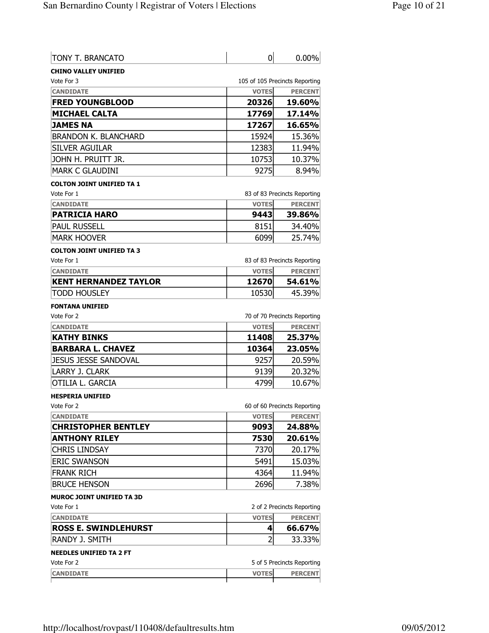| <b>TONY T. BRANCATO</b>     |              | 0.00%                          |
|-----------------------------|--------------|--------------------------------|
| <b>CHINO VALLEY UNIFIED</b> |              |                                |
| Vote For 3                  |              | 105 of 105 Precincts Reporting |
| <b>CANDIDATE</b>            | <b>VOTES</b> | <b>PERCENT</b>                 |
| <b>FRED YOUNGBLOOD</b>      | 20326        | 19.60%                         |
| <b>MICHAEL CALTA</b>        | 17769        | 17.14%                         |
| <b>JAMES NA</b>             | 17267        | 16.65%                         |
| <b>BRANDON K. BLANCHARD</b> | 15924        | 15.36%                         |
| <b>SILVER AGUILAR</b>       | 12383        | 11.94%                         |
| JOHN H. PRUITT JR.          | 10753        | 10.37%                         |
| <b>MARK C GLAUDINI</b>      | 9275         | 8.94%                          |

#### COLTON JOINT UNIFIED TA 1

| Vote For 1           |               | 83 of 83 Precincts Reporting |
|----------------------|---------------|------------------------------|
| <b>CANDIDATE</b>     | <b>VOTESI</b> | <b>PERCENT</b>               |
| <b>PATRICIA HARO</b> | 9443          | <b>39.86%</b>                |
| PAUL RUSSELL         | 8151          | 34.40%                       |
| <b>IMARK HOOVER</b>  | 6099          | 25.74%                       |

#### COLTON JOINT UNIFIED TA 3

| Vote For 1                   |              | 83 of 83 Precincts Reporting |
|------------------------------|--------------|------------------------------|
| <b>CANDIDATE</b>             | <b>VOTES</b> | <b>PERCENT</b>               |
| <b>KENT HERNANDEZ TAYLOR</b> | 12670        | 54.61%                       |
| <b>TODD HOUSLEY</b>          | 10530        | 45.39%                       |

#### FONTANA UNIFIED

| Vote For 2               |              | 70 of 70 Precincts Reporting |
|--------------------------|--------------|------------------------------|
| <b>CANDIDATE</b>         | <b>VOTES</b> | <b>PERCENT</b>               |
| <b>KATHY BINKS</b>       | 11408        | 25.37%                       |
| <b>BARBARA L. CHAVEZ</b> | 10364        | 23.05%                       |
| JESUS JESSE SANDOVAL     | 9257         | 20.59%                       |
| LARRY J. CLARK           | 9139         | 20.32%                       |
| <b>OTILIA L. GARCIA</b>  | 4799         | 10.67%                       |

#### HESPERIA UNIFIED

| Vote For 2                 |              | 60 of 60 Precincts Reporting |  |
|----------------------------|--------------|------------------------------|--|
| <b>CANDIDATE</b>           | <b>VOTES</b> | <b>PERCENT</b>               |  |
| <b>CHRISTOPHER BENTLEY</b> | 9093         | 24.88%                       |  |
| <b>ANTHONY RILEY</b>       | 7530         | 20.61%                       |  |
| Chris Lindsay              | 7370         | 20.17%                       |  |
| <b>ERIC SWANSON</b>        | 5491         | 15.03%                       |  |
| <b>FRANK RICH</b>          | 4364         | 11.94%                       |  |
| <b>BRUCE HENSON</b>        | 2696         | 7.38%                        |  |

#### MUROC JOINT UNIFIED TA 3D

| Vote For 1                  |              | 2 of 2 Precincts Reporting |
|-----------------------------|--------------|----------------------------|
| <b>CANDIDATE</b>            | <b>VOTES</b> | <b>PERCENT</b>             |
| <b>ROSS E. SWINDLEHURST</b> |              | 66.67%                     |
| IRANDY J. SMITH             | ∽            | 33.33%                     |
|                             |              |                            |

# NEEDLES UNIFIED TA 2 FT

| Vote For 2       |              | 5 of 5 Precincts Reporting |
|------------------|--------------|----------------------------|
| <b>CANDIDATE</b> | <b>VOTES</b> | <b>PERCENT</b>             |
|                  |              |                            |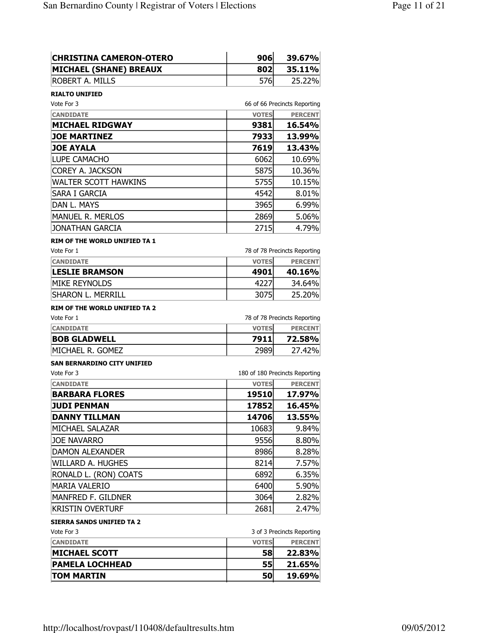| <b>CHRISTINA CAMERON-OTERO</b>       | 906                            | 39.67%                       |
|--------------------------------------|--------------------------------|------------------------------|
| <b>MICHAEL (SHANE) BREAUX</b>        | 802                            | 35.11%                       |
| ROBERT A. MILLS                      | 576                            | 25.22%                       |
| <b>RIALTO UNIFIED</b>                |                                |                              |
| Vote For 3                           |                                | 66 of 66 Precincts Reporting |
| <b>CANDIDATE</b>                     | <b>VOTES</b>                   | <b>PERCENT</b>               |
| <b>MICHAEL RIDGWAY</b>               | 9381                           | 16.54%                       |
| <b>JOE MARTINEZ</b>                  | 7933                           | 13.99%                       |
| <b>JOE AYALA</b>                     | 7619                           | 13.43%                       |
| LUPE CAMACHO                         | 6062                           | 10.69%                       |
| COREY A. JACKSON                     | 5875                           | 10.36%                       |
| WALTER SCOTT HAWKINS                 | 5755                           | 10.15%                       |
| SARA I GARCIA                        | 4542                           | 8.01%                        |
| DAN L. MAYS                          | 3965                           | 6.99%                        |
| <b>MANUEL R. MERLOS</b>              | 2869                           | 5.06%                        |
| JONATHAN GARCIA                      | 2715                           | 4.79%                        |
| <b>RIM OF THE WORLD UNIFIED TA 1</b> |                                |                              |
| Vote For 1                           |                                | 78 of 78 Precincts Reporting |
| <b>CANDIDATE</b>                     | <b>VOTES</b>                   | <b>PERCENT</b>               |
| <b>LESLIE BRAMSON</b>                | 4901                           | 40.16%                       |
| <b>MIKE REYNOLDS</b>                 | 4227                           | 34.64%                       |
| SHARON L. MERRILL                    | 3075                           | 25.20%                       |
| <b>RIM OF THE WORLD UNIFIED TA 2</b> |                                |                              |
| Vote For 1                           |                                | 78 of 78 Precincts Reporting |
| <b>CANDIDATE</b>                     | <b>VOTES</b>                   | <b>PERCENT</b>               |
| <b>BOB GLADWELL</b>                  | 7911                           | 72.58%                       |
| MICHAEL R. GOMEZ                     | 2989                           | 27.42%                       |
| <b>SAN BERNARDINO CITY UNIFIED</b>   |                                |                              |
| Vote For 3                           | 180 of 180 Precincts Reporting |                              |
| <b>CANDIDATE</b>                     | <b>VOTES</b>                   | <b>PERCENT</b>               |
| <b>BARBARA FLORES</b>                | 19510                          | 17.97%                       |
| <b>JUDI PENMAN</b>                   | 17852                          | 16.45%                       |
| <b>DANNY TILLMAN</b>                 | 14706                          | 13.55%                       |
| MICHAEL SALAZAR                      | 10683                          | 9.84%                        |
| Joe Navarro                          | 9556                           | 8.80%                        |
| DAMON ALEXANDER                      | 8986                           | 8.28%                        |
| WILLARD A. HUGHES                    | 8214                           | 7.57%                        |
| RONALD L. (RON) COATS                | 6892                           | 6.35%                        |
| <b>MARIA VALERIO</b>                 | 6400                           | 5.90%                        |
| MANFRED F. GILDNER                   | 3064                           | 2.82%                        |
| <b>KRISTIN OVERTURF</b>              | 2681                           | 2.47%                        |
| <b>SIERRA SANDS UNIFIED TA 2</b>     |                                |                              |
| Vote For 3                           |                                | 3 of 3 Precincts Reporting   |
| <b>CANDIDATE</b>                     | <b>VOTES</b>                   | <b>PERCENT</b>               |
| <b>MICHAEL SCOTT</b>                 | 58                             | 22.83%                       |
| <b>PAMELA LOCHHEAD</b>               | 55                             | 21.65%                       |
|                                      |                                |                              |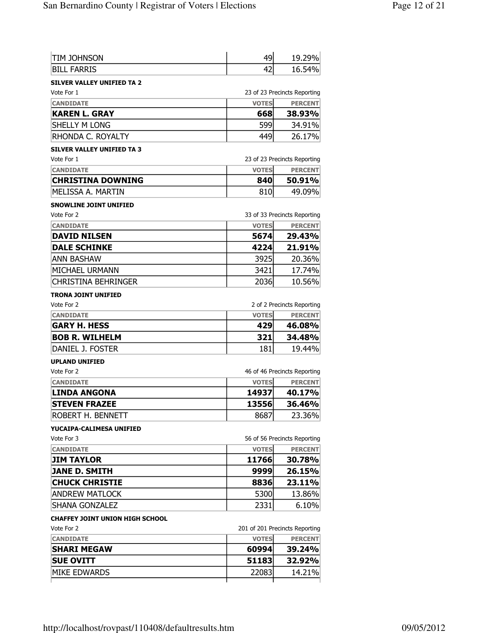| tim Johnson                       | 49           | 19.29%                         |
|-----------------------------------|--------------|--------------------------------|
| <b>BILL FARRIS</b>                | 42           | 16.54%                         |
| <b>SILVER VALLEY UNIFIED TA 2</b> |              |                                |
| Vote For 1                        |              | 23 of 23 Precincts Reporting   |
| <b>CANDIDATE</b>                  | <b>VOTES</b> | <b>PERCENT</b>                 |
| <b>KAREN L. GRAY</b>              | 668          | 38.93%                         |
| SHELLY M LONG                     | 599          | 34.91%                         |
| RHONDA C. ROYALTY                 | 449          | 26.17%                         |
| <b>SILVER VALLEY UNIFIED TA 3</b> |              |                                |
| Vote For 1                        |              | 23 of 23 Precincts Reporting   |
| <b>CANDIDATE</b>                  | <b>VOTES</b> | <b>PERCENT</b>                 |
| <b>CHRISTINA DOWNING</b>          | 840          | 50.91%                         |
| MELISSA A. MARTIN                 | 810          | 49.09%                         |
| <b>SNOWLINE JOINT UNIFIED</b>     |              |                                |
| Vote For 2                        |              | 33 of 33 Precincts Reporting   |
| <b>CANDIDATE</b>                  | <b>VOTES</b> | <b>PERCENT</b>                 |
| <b>DAVID NILSEN</b>               | 5674         | 29.43%                         |
| <b>DALE SCHINKE</b>               | 4224         | 21.91%                         |
| <b>ANN BASHAW</b>                 | 3925         | 20.36%                         |
| MICHAEL URMANN                    | 3421         | 17.74%                         |
| CHRISTINA BEHRINGER               | 2036         | 10.56%                         |
| <b>TRONA JOINT UNIFIED</b>        |              |                                |
| Vote For 2                        |              | 2 of 2 Precincts Reporting     |
| <b>CANDIDATE</b>                  | <b>VOTES</b> | <b>PERCENT</b>                 |
| <b>GARY H. HESS</b>               | 429          | 46.08%                         |
| <b>BOB R. WILHELM</b>             | 321          | 34.48%                         |
| DANIEL J. FOSTER                  | 181          | 19.44%                         |
| <b>UPLAND UNIFIED</b>             |              |                                |
| Vote For 2                        |              | 46 of 46 Precincts Reporting   |
| <b>CANDIDATE</b>                  | <b>VOTES</b> | <b>PERCENT</b>                 |
| <b>LINDA ANGONA</b>               | 14937        | 40.17%                         |
| <b>STEVEN FRAZEE</b>              | 13556        | 36.46%                         |
| ROBERT H. BENNETT                 | 8687         | 23.36%                         |
| YUCAIPA-CALIMESA UNIFIED          |              |                                |
| Vote For 3                        |              | 56 of 56 Precincts Reporting   |
| <b>CANDIDATE</b>                  | <b>VOTES</b> | <b>PERCENT</b>                 |
| <b>JIM TAYLOR</b>                 | 11766        | 30.78%                         |
| <b>JANE D. SMITH</b>              | 9999         | 26.15%                         |
| <b>CHUCK CHRISTIE</b>             | 8836         | 23.11%                         |
| <b>ANDREW MATLOCK</b>             | 5300         | 13.86%                         |
| SHANA GONZALEZ                    | 2331         | 6.10%                          |
| CHAFFEY JOINT UNION HIGH SCHOOL   |              |                                |
| Vote For 2                        |              | 201 of 201 Precincts Reporting |
| <b>CANDIDATE</b>                  | <b>VOTES</b> | <b>PERCENT</b>                 |
| <b>SHARI MEGAW</b>                | 60994        | 39.24%                         |
| <b>SUE OVITT</b>                  | 51183        | 32.92%                         |
| <b>MIKE EDWARDS</b>               | 22083        | 14.21%                         |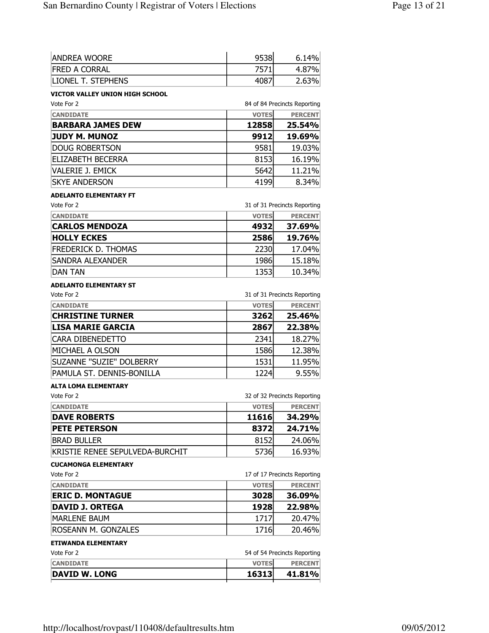| <b>ANDREA WOORE</b>                         | 9538         | 6.14%                        |
|---------------------------------------------|--------------|------------------------------|
| <b>FRED A CORRAL</b>                        | 7571         | 4.87%                        |
| <b>LIONEL T. STEPHENS</b>                   | 4087         | 2.63%                        |
| VICTOR VALLEY UNION HIGH SCHOOL             |              |                              |
| Vote For 2                                  |              | 84 of 84 Precincts Reporting |
| <b>CANDIDATE</b>                            | <b>VOTES</b> | <b>PERCENT</b>               |
| <b>BARBARA JAMES DEW</b>                    | 12858        | 25.54%                       |
| <b>JUDY M. MUNOZ</b>                        | 9912         | 19.69%                       |
| <b>DOUG ROBERTSON</b>                       | 9581         | 19.03%                       |
| <b>ELIZABETH BECERRA</b>                    | 8153         | 16.19%                       |
| <b>VALERIE J. EMICK</b>                     | 5642         | 11.21%                       |
| <b>SKYE ANDERSON</b>                        | 4199         | 8.34%                        |
| <b>ADELANTO ELEMENTARY FT</b>               |              |                              |
| Vote For 2                                  |              | 31 of 31 Precincts Reporting |
| <b>CANDIDATE</b>                            | <b>VOTES</b> | <b>PERCENT</b>               |
| <b>CARLOS MENDOZA</b>                       | 4932         | 37.69%                       |
| <b>HOLLY ECKES</b>                          | 2586         | 19.76%                       |
| <b>FREDERICK D. THOMAS</b>                  | 2230         | 17.04%                       |
| <b>SANDRA ALEXANDER</b>                     | 1986         | 15.18%                       |
| <b>DAN TAN</b>                              | 1353         | 10.34%                       |
|                                             |              |                              |
| <b>ADELANTO ELEMENTARY ST</b><br>Vote For 2 |              | 31 of 31 Precincts Reporting |
| <b>CANDIDATE</b>                            | <b>VOTES</b> | <b>PERCENT</b>               |
| <b>CHRISTINE TURNER</b>                     | 3262         | 25.46%                       |
| <b>LISA MARIE GARCIA</b>                    | 2867         | 22.38%                       |
| CARA DIBENEDETTO                            | 2341         | 18.27%                       |
| MICHAEL A OLSON                             | 1586         | 12.38%                       |
| SUZANNE "SUZIE" DOLBERRY                    | 1531         | 11.95%                       |
| PAMULA ST. DENNIS-BONILLA                   | 1224         | 9.55%                        |
|                                             |              |                              |
| ALTA LOMA ELEMENTARY<br>Vote For 2          |              | 32 of 32 Precincts Reporting |
| <b>CANDIDATE</b>                            | <b>VOTES</b> | <b>PERCENT</b>               |
| <b>DAVE ROBERTS</b>                         | 11616        | 34.29%                       |
| <b>PETE PETERSON</b>                        | 8372         | 24.71%                       |
| <b>BRAD BULLER</b>                          | 8152         | 24.06%                       |
| KRISTIE RENEE SEPULVEDA-BURCHIT             | 5736         | 16.93%                       |
|                                             |              |                              |
| <b>CUCAMONGA ELEMENTARY</b><br>Vote For 2   |              | 17 of 17 Precincts Reporting |
| <b>CANDIDATE</b>                            | <b>VOTES</b> | <b>PERCENT</b>               |
| <b>ERIC D. MONTAGUE</b>                     | 3028         | 36.09%                       |
| <b>DAVID J. ORTEGA</b>                      | 1928         | 22.98%                       |
| <b>MARLENE BAUM</b>                         | 1717         |                              |
|                                             |              | 20.47%                       |
| ROSEANN M. GONZALES                         | 1716         | 20.46%                       |
| <b>ETIWANDA ELEMENTARY</b>                  |              |                              |
| Vote For 2                                  |              | 54 of 54 Precincts Reporting |
| <b>CANDIDATE</b><br><b>DAVID W. LONG</b>    | <b>VOTES</b> | <b>PERCENT</b>               |
|                                             | 16313        | 41.81%                       |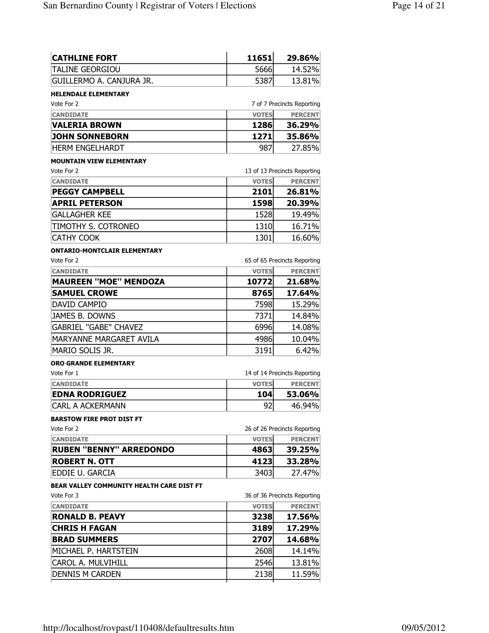| <b>CATHLINE FORT</b>                             | 11651               | 29.86%                       |
|--------------------------------------------------|---------------------|------------------------------|
| TALINE GEORGIOU                                  | 5666                | 14.52%                       |
| GUILLERMO A. CANJURA JR.                         | 5387                | 13.81%                       |
| <b>HELENDALE ELEMENTARY</b>                      |                     |                              |
| Vote For 2                                       |                     | 7 of 7 Precincts Reporting   |
| <b>CANDIDATE</b>                                 | <b>VOTES</b>        | <b>PERCENT</b>               |
| VALERIA BROWN                                    | 1286                | 36.29%                       |
| <b>JOHN SONNEBORN</b>                            | 1271                | 35.86%                       |
| <b>HERM ENGELHARDT</b>                           | 987                 | 27.85%                       |
| <b>MOUNTAIN VIEW ELEMENTARY</b>                  |                     |                              |
| Vote For 2                                       |                     | 13 of 13 Precincts Reporting |
| <b>CANDIDATE</b>                                 | <b>VOTES</b>        | <b>PERCENT</b>               |
| <b>PEGGY CAMPBELL</b>                            | 2101                | 26.81%                       |
| <b>APRIL PETERSON</b>                            | 1598                | 20.39%                       |
| <b>GALLAGHER KEE</b>                             | 1528                | 19.49%                       |
| TIMOTHY S. COTRONEO                              | 1310                | 16.71%                       |
| CATHY COOK                                       | 1301                | 16.60%                       |
| <b>ONTARIO-MONTCLAIR ELEMENTARY</b>              |                     |                              |
| Vote For 2                                       |                     | 65 of 65 Precincts Reporting |
| <b>CANDIDATE</b><br><b>MAUREEN "MOE" MENDOZA</b> | <b>VOTES</b>        | <b>PERCENT</b>               |
|                                                  | 10772               | 21.68%                       |
| <b>SAMUEL CROWE</b>                              | 8765                | 17.64%                       |
| DAVID CAMPIO                                     | 7598                | 15.29%                       |
| JAMES B. DOWNS                                   | 7371                | 14.84%                       |
| <b>GABRIEL "GABE" CHAVEZ</b>                     | 6996                | 14.08%                       |
| MARYANNE MARGARET AVILA                          | 4986                | 10.04%                       |
| MARIO SOLIS JR.                                  | 3191                | 6.42%                        |
| <b>ORO GRANDE ELEMENTARY</b>                     |                     |                              |
| Vote For 1                                       |                     | 14 of 14 Precincts Reporting |
| <b>CANDIDATE</b><br><b>EDNA RODRIGUEZ</b>        | <b>VOTES</b><br>104 | <b>PERCENT</b><br>53.06%     |
| CARL A ACKERMANN                                 | 92                  | 46.94%                       |
|                                                  |                     |                              |
| <b>BARSTOW FIRE PROT DIST FT</b><br>Vote For 2   |                     | 26 of 26 Precincts Reporting |
| <b>CANDIDATE</b>                                 | <b>VOTES</b>        | <b>PERCENT</b>               |
| <b>RUBEN "BENNY" ARREDONDO</b>                   | 4863                | 39.25%                       |
| <b>ROBERT N. OTT</b>                             | 4123                | 33.28%                       |
| EDDIE U. GARCIA                                  | 3403                | 27.47%                       |
| BEAR VALLEY COMMUNITY HEALTH CARE DIST FT        |                     |                              |
| Vote For 3                                       |                     | 36 of 36 Precincts Reporting |
| <b>CANDIDATE</b>                                 | <b>VOTES</b>        | <b>PERCENT</b>               |
| <b>RONALD B. PEAVY</b>                           | 3238                | 17.56%                       |
| <b>CHRIS H FAGAN</b>                             | 3189                | 17.29%                       |
| <b>BRAD SUMMERS</b>                              | 2707                | 14.68%                       |
| MICHAEL P. HARTSTEIN                             | 2608                | 14.14%                       |
| CAROL A. MULVIHILL                               | 2546                | 13.81%                       |
|                                                  |                     |                              |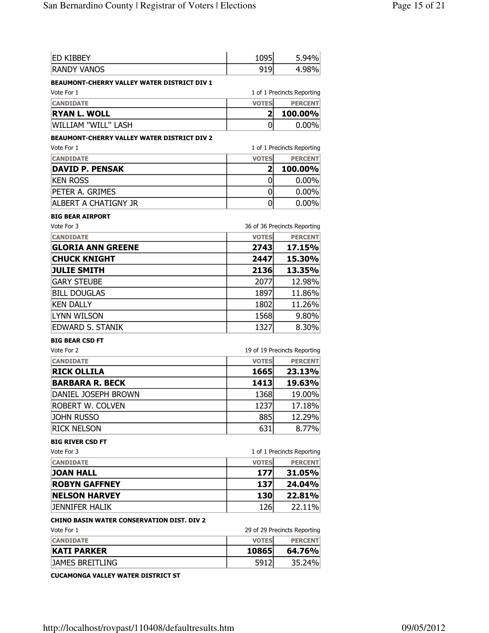| <b>ED KIBBEY</b>                                   | 1095           | 5.94%                        |
|----------------------------------------------------|----------------|------------------------------|
| <b>RANDY VANOS</b>                                 | 919            | 4.98%                        |
| <b>BEAUMONT-CHERRY VALLEY WATER DISTRICT DIV 1</b> |                |                              |
| Vote For 1                                         |                | 1 of 1 Precincts Reporting   |
| <b>CANDIDATE</b>                                   | <b>VOTES</b>   | <b>PERCENT</b>               |
| <b>RYAN L. WOLL</b>                                | 2              | 100.00%                      |
| WILLIAM "WILL" LASH                                | 0              | $0.00\%$                     |
| <b>BEAUMONT-CHERRY VALLEY WATER DISTRICT DIV 2</b> |                |                              |
| Vote For 1                                         |                | 1 of 1 Precincts Reporting   |
| <b>CANDIDATE</b>                                   | <b>VOTES</b>   | <b>PERCENT</b>               |
| <b>DAVID P. PENSAK</b>                             | $\overline{2}$ | 100.00%                      |
| <b>KEN ROSS</b>                                    | 0              | $0.00\%$                     |
| PETER A. GRIMES                                    | 0              | $0.00\%$                     |
| <b>ALBERT A CHATIGNY JR</b>                        | 0              | $0.00\%$                     |
| <b>BIG BEAR AIRPORT</b>                            |                |                              |
| Vote For 3                                         |                | 36 of 36 Precincts Reporting |
| <b>CANDIDATE</b>                                   | <b>VOTES</b>   | <b>PERCENT</b>               |
| <b>GLORIA ANN GREENE</b>                           | 2743           | 17.15%                       |
| <b>CHUCK KNIGHT</b>                                | 2447           | 15.30%                       |
| <b>JULIE SMITH</b>                                 | 2136           | 13.35%                       |
| <b>GARY STEUBE</b>                                 | 2077           | 12.98%                       |
| <b>BILL DOUGLAS</b>                                | 1897           | 11.86%                       |
| <b>KEN DALLY</b>                                   | 1802           | 11.26%                       |
| <b>LYNN WILSON</b>                                 | 1568           | 9.80%                        |
| <b>EDWARD S. STANIK</b>                            | 1327           | 8.30%                        |
| <b>BIG BEAR CSD FT</b>                             |                |                              |
| Vote For 2                                         |                | 19 of 19 Precincts Reporting |
| <b>CANDIDATE</b>                                   | <b>VOTES</b>   | <b>PERCENT</b>               |
| <b>RICK OLLILA</b>                                 | 1665           | 23.13%                       |
| <b>BARBARA R. BECK</b>                             | 1413           | 19.63%                       |
| DANIEL JOSEPH BROWN                                | 1368           | 19.00%                       |
| ROBERT W. COLVEN                                   | 1237           | 17.18%                       |
| <b>JOHN RUSSO</b>                                  | 885            | 12.29%                       |
| <b>RICK NELSON</b>                                 | 631            | 8.77%                        |
| <b>BIG RIVER CSD FT</b>                            |                |                              |
| Vote For 3                                         |                | 1 of 1 Precincts Reporting   |
| <b>CANDIDATE</b>                                   | <b>VOTES</b>   | <b>PERCENT</b>               |
| <b>JOAN HALL</b>                                   | 177            | 31.05%                       |
| <b>ROBYN GAFFNEY</b>                               | 137            | 24.04%                       |
| <b>NELSON HARVEY</b>                               | 130            | 22.81%                       |
| <b>JENNIFER HALIK</b>                              | 126            | 22.11%                       |
| <b>CHINO BASIN WATER CONSERVATION DIST. DIV 2</b>  |                |                              |
| Vote For 1                                         |                | 29 of 29 Precincts Reporting |
| <b>CANDIDATE</b>                                   | <b>VOTES</b>   | <b>PERCENT</b>               |
| <b>KATI PARKER</b>                                 | 10865          | 64.76%                       |
| <b>JAMES BREITLING</b>                             | 5912           | 35.24%                       |

CUCAMONGA VALLEY WATER DISTRICT ST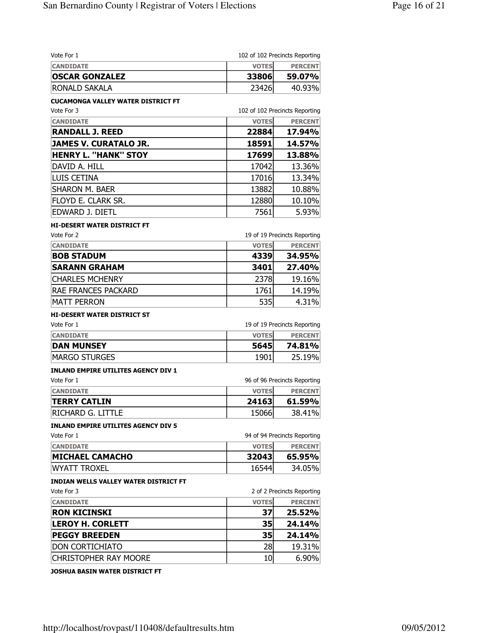| Vote For 1                                   |              | 102 of 102 Precincts Reporting |
|----------------------------------------------|--------------|--------------------------------|
| <b>CANDIDATE</b>                             | <b>VOTES</b> | <b>PERCENT</b>                 |
| <b>OSCAR GONZALEZ</b>                        | 33806        | 59.07%                         |
| <b>RONALD SAKALA</b>                         | 23426        | 40.93%                         |
| CUCAMONGA VALLEY WATER DISTRICT FT           |              |                                |
| Vote For 3                                   |              | 102 of 102 Precincts Reporting |
| <b>CANDIDATE</b>                             | <b>VOTES</b> | <b>PERCENT</b>                 |
| <b>RANDALL J. REED</b>                       | 22884        | 17.94%                         |
| <b>JAMES V. CURATALO JR.</b>                 | 18591        | 14.57%                         |
| <b>HENRY L. "HANK" STOY</b>                  | 17699        | 13.88%                         |
| DAVID A. HILL                                | 17042        | 13.36%                         |
| LUIS CETINA                                  | 17016        | 13.34%                         |
| <b>SHARON M. BAER</b>                        | 13882        | 10.88%                         |
| FLOYD E. CLARK SR.                           | 12880        | 10.10%                         |
| EDWARD J. DIETL                              | 7561         | 5.93%                          |
| <b>HI-DESERT WATER DISTRICT FT</b>           |              |                                |
| Vote For 2                                   |              | 19 of 19 Precincts Reporting   |
| <b>CANDIDATE</b>                             | <b>VOTES</b> | <b>PERCENT</b>                 |
| <b>BOB STADUM</b>                            | 4339         | 34.95%                         |
| <b>SARANN GRAHAM</b>                         | 3401         | 27.40%                         |
| <b>CHARLES MCHENRY</b>                       | 2378         | 19.16%                         |
| RAE FRANCES PACKARD                          | 1761         | 14.19%                         |
| <b>MATT PERRON</b>                           | 535          | 4.31%                          |
| <b>HI-DESERT WATER DISTRICT ST</b>           |              |                                |
| Vote For 1                                   |              | 19 of 19 Precincts Reporting   |
| <b>CANDIDATE</b>                             | <b>VOTES</b> | <b>PERCENT</b>                 |
| <b>DAN MUNSEY</b>                            | 5645         | 74.81%                         |
| <b>MARGO STURGES</b>                         | 1901         | 25.19%                         |
| <b>INLAND EMPIRE UTILITES AGENCY DIV 1</b>   |              |                                |
| Vote For 1                                   |              | 96 of 96 Precincts Reporting   |
| <b>CANDIDATE</b>                             | <b>VOTES</b> | <b>PERCENT</b>                 |
| <b>TERRY CATLIN</b>                          | 24163        | 61.59%                         |
| RICHARD G. LITTLE                            | 15066        | 38.41%                         |
| <b>INLAND EMPIRE UTILITES AGENCY DIV 5</b>   |              |                                |
| Vote For 1                                   |              | 94 of 94 Precincts Reporting   |
| <b>CANDIDATE</b>                             | <b>VOTES</b> | <b>PERCENT</b>                 |
| <b>MICHAEL CAMACHO</b>                       | 32043        | 65.95%                         |
| <b>WYATT TROXEL</b>                          | 16544        | 34.05%                         |
| <b>INDIAN WELLS VALLEY WATER DISTRICT FT</b> |              |                                |
| Vote For 3                                   |              | 2 of 2 Precincts Reporting     |
| <b>CANDIDATE</b>                             | <b>VOTES</b> | <b>PERCENT</b>                 |
| <b>RON KICINSKI</b>                          | 37           | 25.52%                         |
| <b>LEROY H. CORLETT</b>                      | 35           | 24.14%                         |
| <b>PEGGY BREEDEN</b>                         | 35           | 24.14%                         |
| <b>DON CORTICHIATO</b>                       | 28           | 19.31%                         |
| <b>CHRISTOPHER RAY MOORE</b>                 | 10           | 6.90%                          |
|                                              |              |                                |

JOSHUA BASIN WATER DISTRICT FT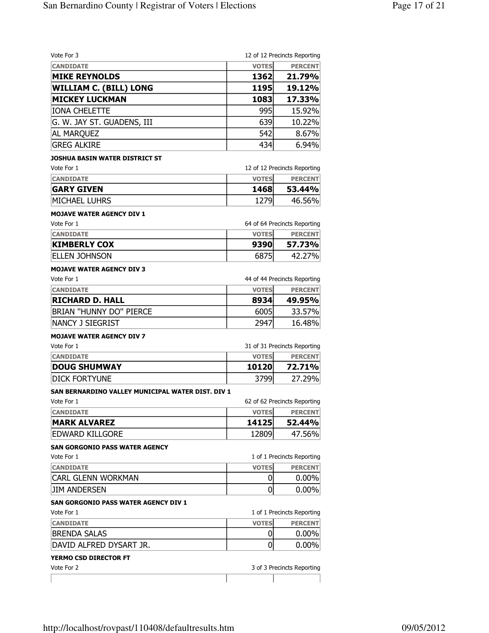|                | 12 of 12 Precincts Reporting           |
|----------------|----------------------------------------|
| <b>VOTES</b>   | <b>PERCENT</b>                         |
| 1362           | 21.79%                                 |
| 1195           | 19.12%                                 |
| 1083           | 17.33%                                 |
| 995            | 15.92%                                 |
| 639            | 10.22%                                 |
| 542            | 8.67%                                  |
| 434            | 6.94%                                  |
|                |                                        |
|                | 12 of 12 Precincts Reporting           |
| <b>VOTES</b>   | <b>PERCENT</b>                         |
| 1468           | 53.44%                                 |
| 1279           | 46.56%                                 |
|                |                                        |
|                | 64 of 64 Precincts Reporting           |
| <b>VOTES</b>   | <b>PERCENT</b>                         |
| 9390           | 57.73%                                 |
| 6875           | 42.27%                                 |
|                |                                        |
|                | 44 of 44 Precincts Reporting           |
| <b>VOTES</b>   | <b>PERCENT</b>                         |
| 8934           | 49.95%                                 |
| 6005           | 33.57%                                 |
| 2947           | 16.48%                                 |
|                |                                        |
|                | 31 of 31 Precincts Reporting           |
| <b>VOTES</b>   | <b>PERCENT</b>                         |
| 10120          | 72.71%                                 |
| 3799           | 27.29%                                 |
|                |                                        |
|                | 62 of 62 Precincts Reporting           |
| <b>VOTES</b>   | <b>PERCENT</b>                         |
| 14125          | 52.44%                                 |
| 12809          | 47.56%                                 |
|                |                                        |
|                | 1 of 1 Precincts Reporting             |
|                | <b>PERCENT</b>                         |
|                | $0.00\%$                               |
|                | $0.00\%$                               |
|                |                                        |
|                | 1 of 1 Precincts Reporting             |
|                |                                        |
| <b>VOTES</b>   |                                        |
| 0              |                                        |
| $\overline{0}$ |                                        |
|                | <b>PERCENT</b><br>$0.00\%$<br>$0.00\%$ |
|                | <b>VOTES</b><br>0<br>0                 |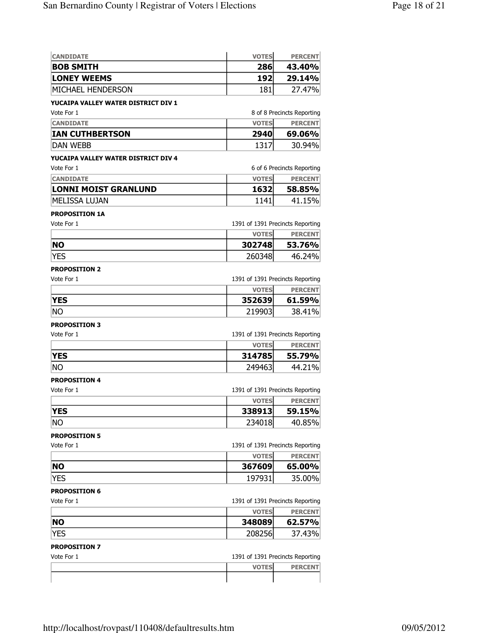| <b>CANDIDATE</b>                    | <b>VOTES</b>                                     | <b>PERCENT</b>             |
|-------------------------------------|--------------------------------------------------|----------------------------|
| <b>BOB SMITH</b>                    | 286                                              | 43.40%                     |
| <b>LONEY WEEMS</b>                  | 192                                              | 29.14%                     |
| MICHAEL HENDERSON                   | 181                                              | 27.47%                     |
| YUCAIPA VALLEY WATER DISTRICT DIV 1 |                                                  |                            |
| Vote For 1                          |                                                  | 8 of 8 Precincts Reporting |
| <b>CANDIDATE</b>                    | <b>VOTES</b>                                     | <b>PERCENT</b>             |
| <b>IAN CUTHBERTSON</b>              | 2940                                             | 69.06%                     |
| <b>DAN WEBB</b>                     | 1317                                             | 30.94%                     |
| YUCAIPA VALLEY WATER DISTRICT DIV 4 |                                                  |                            |
| Vote For 1                          |                                                  | 6 of 6 Precincts Reporting |
| <b>CANDIDATE</b>                    | <b>VOTES</b>                                     | <b>PERCENT</b>             |
| <b>LONNI MOIST GRANLUND</b>         | 1632                                             | 58.85%                     |
| <b>MELISSA LUJAN</b>                | 1141                                             | 41.15%                     |
| <b>PROPOSITION 1A</b>               |                                                  |                            |
| Vote For 1                          | 1391 of 1391 Precincts Reporting                 |                            |
|                                     | <b>VOTES</b>                                     | <b>PERCENT</b>             |
| <b>NO</b>                           | 302748                                           | 53.76%                     |
| YES                                 | 260348                                           | 46.24%                     |
| <b>PROPOSITION 2</b>                |                                                  |                            |
| Vote For 1                          | 1391 of 1391 Precincts Reporting                 |                            |
|                                     | <b>VOTES</b>                                     | <b>PERCENT</b>             |
| <b>YES</b>                          | 352639                                           | 61.59%                     |
| Ino                                 | 219903                                           | 38.41%                     |
| <b>PROPOSITION 3</b>                |                                                  |                            |
| Vote For 1                          | 1391 of 1391 Precincts Reporting                 |                            |
|                                     | <b>VOTES</b>                                     | <b>PERCENT</b>             |
| <b>YES</b>                          | 314785                                           | 55.79%                     |
| Ino                                 | 249463                                           | 44.21%                     |
| <b>PROPOSITION 4</b>                |                                                  |                            |
| Vote For 1                          | 1391 of 1391 Precincts Reporting                 |                            |
|                                     | <b>VOTES</b>                                     | <b>PERCENT</b>             |
| YES                                 | 338913                                           | 59.15%                     |
| No                                  | 234018                                           | 40.85%                     |
|                                     |                                                  |                            |
| <b>PROPOSITION 5</b><br>Vote For 1  |                                                  |                            |
|                                     | 1391 of 1391 Precincts Reporting<br><b>VOTES</b> | <b>PERCENT</b>             |
| <b>NO</b>                           | 367609                                           | 65.00%                     |
| <b>YES</b>                          | 197931                                           | 35.00%                     |
|                                     |                                                  |                            |
| <b>PROPOSITION 6</b>                |                                                  |                            |
| Vote For 1                          | 1391 of 1391 Precincts Reporting                 |                            |
|                                     | <b>VOTES</b>                                     | <b>PERCENT</b>             |
| <b>NO</b>                           | 348089                                           | 62.57%                     |
| <b>YES</b>                          | 208256                                           | 37.43%                     |
| <b>PROPOSITION 7</b>                |                                                  |                            |

| Vote For 1 |              | 1391 of 1391 Precincts Reporting |  |  |
|------------|--------------|----------------------------------|--|--|
|            | <b>VOTES</b> | <b>PERCENT</b>                   |  |  |
|            |              |                                  |  |  |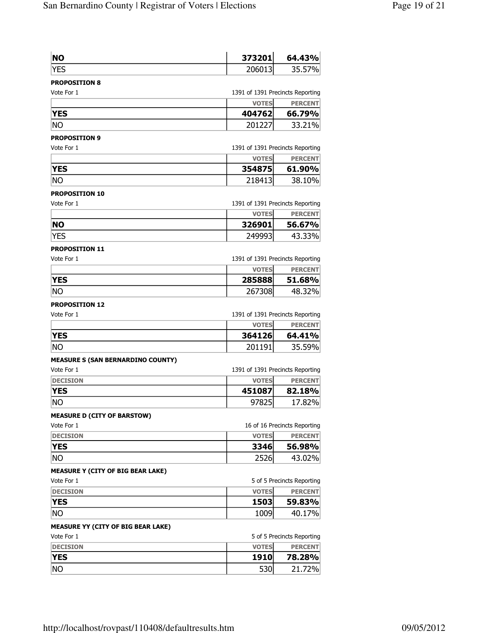| <b>NO</b>  | 373201      | 64.43% |
|------------|-------------|--------|
| <b>VEC</b> | $206^\circ$ | 7%     |

#### PROPOSITION 8 Vote For 1

|  |  | 1391 of 1391 Precincts Reporting |  |
|--|--|----------------------------------|--|
|--|--|----------------------------------|--|

|            | <b>VOTES</b> | <b>PERCENT</b> |
|------------|--------------|----------------|
| <b>YES</b> | 404762       | 66.79%         |
| <b>NO</b>  | 20122        | 33.21%         |

# PROPOSITION 9

| Vote For 1 | 1391 of 1391 Precincts Reporting |  |
|------------|----------------------------------|--|
|            | <b>BERGERIEL</b><br>$1107 - 11$  |  |

|            | <b>VOTES</b> | <b>PERCENT</b> |
|------------|--------------|----------------|
| <b>YES</b> | 354875       | 61.90%         |
| <b>NO</b>  | 218413       | 38.10%         |

## PROPOSITION 10

| Vote For 1 |              | 1391 of 1391 Precincts Reporting |  |
|------------|--------------|----------------------------------|--|
|            | <b>VOTES</b> | <b>PERCENT</b>                   |  |
| <b>NO</b>  | 326901       | 56.67%                           |  |
| <b>YES</b> | 249993       | 43.33%                           |  |

# PROPOSITION 11

| Vote For 1 | 1391 of 1391 Precincts Reporting |                |
|------------|----------------------------------|----------------|
|            | <b>VOTES</b>                     | <b>PERCENT</b> |
| <b>YES</b> | 285888                           | 51.68%         |
| No         | 267308                           | 48.32%         |

## PROPOSITION 12

| Vote For 1 | 1391 of 1391 Precincts Reporting |                |
|------------|----------------------------------|----------------|
|            | <b>VOTES</b>                     | <b>PERCENT</b> |
| <b>YES</b> | 364126                           | 64.41%         |
| No         | 201191                           | 35.59%         |

## MEASURE S (SAN BERNARDINO COUNTY)

| Vote For 1                  |              | 1391 of 1391 Precincts Reporting |  |
|-----------------------------|--------------|----------------------------------|--|
| <b>DECISION</b>             | <b>VOTES</b> | <b>PERCENT</b>                   |  |
| <b>YES</b>                  | 451087       | 82.18%                           |  |
| No                          | 97825        | 17.82%                           |  |
| MEACHDE B (CITY OF BABCTOM) |              |                                  |  |

## MEASURE D (CITY OF BARSTOW)

| Vote For 1      | 16 of 16 Precincts Reporting |                |
|-----------------|------------------------------|----------------|
| <b>DECISION</b> | <b>VOTES</b>                 | <b>PERCENT</b> |
| <b>YES</b>      | 3346                         | 56.98%         |
| Ino             | 2526                         | 43.02%         |

# MEASURE Y (CITY OF BIG BEAR LAKE)

| Vote For 1      | 5 of 5 Precincts Reporting |                |
|-----------------|----------------------------|----------------|
| <b>DECISION</b> | <b>VOTES</b>               | <b>PERCENT</b> |
| <b>YES</b>      | 1503                       | 59.83%         |
| No              | 1009                       | 40.17%         |

# MEASURE YY (CITY OF BIG BEAR LAKE)

| Vote For 1      | 5 of 5 Precincts Reporting |                |
|-----------------|----------------------------|----------------|
| <b>DECISION</b> | <b>VOTES</b>               | <b>PERCENT</b> |
| <b>YES</b>      | 1910                       | 78.28%         |
| No              | 530                        | 21.72%         |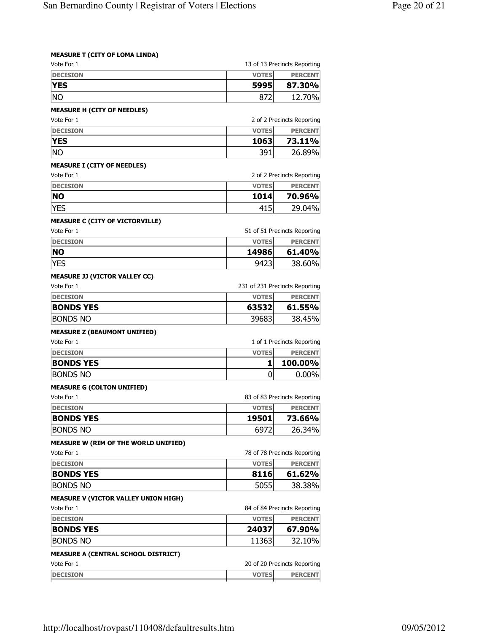|  |  | <b>MEASURE T (CITY OF LOMA LINDA)</b> |
|--|--|---------------------------------------|
|--|--|---------------------------------------|

| Vote For 1                                                                                                                                                                                   |              | 13 of 13 Precincts Reporting                                                                                                                                                                         |
|----------------------------------------------------------------------------------------------------------------------------------------------------------------------------------------------|--------------|------------------------------------------------------------------------------------------------------------------------------------------------------------------------------------------------------|
| <b>DECISION</b>                                                                                                                                                                              | <b>VOTES</b> | <b>PERCENT</b>                                                                                                                                                                                       |
| <b>YES</b>                                                                                                                                                                                   | 5995         | 87.30%                                                                                                                                                                                               |
| <b>NO</b>                                                                                                                                                                                    | 872          | 12.70%                                                                                                                                                                                               |
| <b>MEASURE H (CITY OF NEEDLES)</b>                                                                                                                                                           |              |                                                                                                                                                                                                      |
| Vote For 1                                                                                                                                                                                   |              | 2 of 2 Precincts Reporting                                                                                                                                                                           |
| <b>DECISION</b>                                                                                                                                                                              | <b>VOTES</b> | <b>PERCENT</b>                                                                                                                                                                                       |
| <b>YES</b>                                                                                                                                                                                   | 1063         | 73.11%                                                                                                                                                                                               |
| <b>NO</b>                                                                                                                                                                                    | 391          | 26.89%                                                                                                                                                                                               |
| <b>MEASURE I (CITY OF NEEDLES)</b>                                                                                                                                                           |              |                                                                                                                                                                                                      |
| Vote For 1                                                                                                                                                                                   |              | 2 of 2 Precincts Reporting                                                                                                                                                                           |
| <b>DECISION</b>                                                                                                                                                                              | <b>VOTES</b> | <b>PERCENT</b>                                                                                                                                                                                       |
| <b>NO</b>                                                                                                                                                                                    | 1014         | 70.96%                                                                                                                                                                                               |
| <b>YES</b>                                                                                                                                                                                   | 415          | 29.04%                                                                                                                                                                                               |
| <b>MEASURE C (CITY OF VICTORVILLE)</b>                                                                                                                                                       |              |                                                                                                                                                                                                      |
| Vote For 1                                                                                                                                                                                   |              | 51 of 51 Precincts Reporting                                                                                                                                                                         |
| <b>DECISION</b>                                                                                                                                                                              | <b>VOTES</b> | <b>PERCENT</b>                                                                                                                                                                                       |
| NΟ                                                                                                                                                                                           | 14986        | 61.40%                                                                                                                                                                                               |
| <b>YES</b>                                                                                                                                                                                   | 9423         | 38.60%                                                                                                                                                                                               |
| <b>MEASURE JJ (VICTOR VALLEY CC)</b>                                                                                                                                                         |              |                                                                                                                                                                                                      |
| Vote For 1                                                                                                                                                                                   |              | 231 of 231 Precincts Reporting                                                                                                                                                                       |
| <b>DECISION</b>                                                                                                                                                                              | <b>VOTES</b> | <b>PERCENT</b>                                                                                                                                                                                       |
| <b>BONDS YES</b>                                                                                                                                                                             | 63532        | 61.55%                                                                                                                                                                                               |
| <b>BONDS NO</b>                                                                                                                                                                              | 39683        | 38.45%                                                                                                                                                                                               |
| <b>MEASURE Z (BEAUMONT UNIFIED)</b>                                                                                                                                                          |              |                                                                                                                                                                                                      |
| Vote For 1                                                                                                                                                                                   |              | 1 of 1 Precincts Reporting                                                                                                                                                                           |
| <b>DECISION</b>                                                                                                                                                                              | <b>VOTES</b> | <b>PERCENT</b>                                                                                                                                                                                       |
| <b>BONDS YES</b>                                                                                                                                                                             | 1            | 100.00%                                                                                                                                                                                              |
| <b>BONDS NO</b>                                                                                                                                                                              | 0            | 0.00%                                                                                                                                                                                                |
|                                                                                                                                                                                              |              |                                                                                                                                                                                                      |
|                                                                                                                                                                                              |              |                                                                                                                                                                                                      |
|                                                                                                                                                                                              |              |                                                                                                                                                                                                      |
|                                                                                                                                                                                              |              |                                                                                                                                                                                                      |
| <b>DECISION</b>                                                                                                                                                                              | <b>VOTES</b> |                                                                                                                                                                                                      |
| <b>BONDS YES</b>                                                                                                                                                                             | 19501        | 83 of 83 Precincts Reporting<br><b>PERCENT</b><br>73.66%                                                                                                                                             |
| <b>BONDS NO</b>                                                                                                                                                                              | 6972         |                                                                                                                                                                                                      |
|                                                                                                                                                                                              |              |                                                                                                                                                                                                      |
|                                                                                                                                                                                              |              |                                                                                                                                                                                                      |
| <b>DECISION</b>                                                                                                                                                                              | <b>VOTES</b> |                                                                                                                                                                                                      |
| <b>BONDS YES</b>                                                                                                                                                                             | 8116         |                                                                                                                                                                                                      |
| <b>BONDS NO</b>                                                                                                                                                                              | 5055         |                                                                                                                                                                                                      |
|                                                                                                                                                                                              |              |                                                                                                                                                                                                      |
|                                                                                                                                                                                              |              |                                                                                                                                                                                                      |
| <b>DECISION</b>                                                                                                                                                                              | <b>VOTES</b> |                                                                                                                                                                                                      |
| <b>BONDS YES</b>                                                                                                                                                                             | 24037        |                                                                                                                                                                                                      |
| <b>MEASURE G (COLTON UNIFIED)</b><br>Vote For 1<br><b>MEASURE W (RIM OF THE WORLD UNIFIED)</b><br>Vote For 1<br><b>MEASURE V (VICTOR VALLEY UNION HIGH)</b><br>Vote For 1<br><b>BONDS NO</b> | 11363        |                                                                                                                                                                                                      |
|                                                                                                                                                                                              |              |                                                                                                                                                                                                      |
| <b>MEASURE A (CENTRAL SCHOOL DISTRICT)</b><br>Vote For 1                                                                                                                                     |              | 26.34%<br>78 of 78 Precincts Reporting<br><b>PERCENT</b><br>61.62%<br>38.38%<br>84 of 84 Precincts Reporting<br><b>PERCENT</b><br>67.90%<br>32.10%<br>20 of 20 Precincts Reporting<br><b>PERCENT</b> |